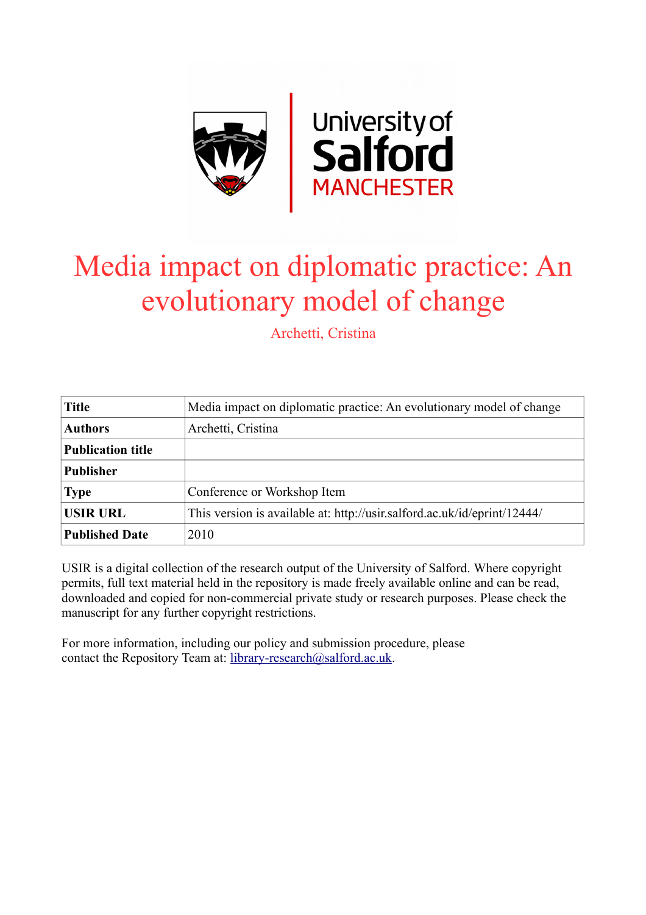

# Media impact on diplomatic practice: An evolutionary model of change

Archetti, Cristina

| <b>Title</b>             | Media impact on diplomatic practice: An evolutionary model of change     |
|--------------------------|--------------------------------------------------------------------------|
| <b>Authors</b>           | Archetti, Cristina                                                       |
| <b>Publication title</b> |                                                                          |
| <b>Publisher</b>         |                                                                          |
| <b>Type</b>              | Conference or Workshop Item                                              |
| <b>USIR URL</b>          | This version is available at: http://usir.salford.ac.uk/id/eprint/12444/ |
| <b>Published Date</b>    | 2010                                                                     |

USIR is a digital collection of the research output of the University of Salford. Where copyright permits, full text material held in the repository is made freely available online and can be read, downloaded and copied for non-commercial private study or research purposes. Please check the manuscript for any further copyright restrictions.

For more information, including our policy and submission procedure, please contact the Repository Team at: [library-research@salford.ac.uk.](mailto:library-research@salford.ac.uk)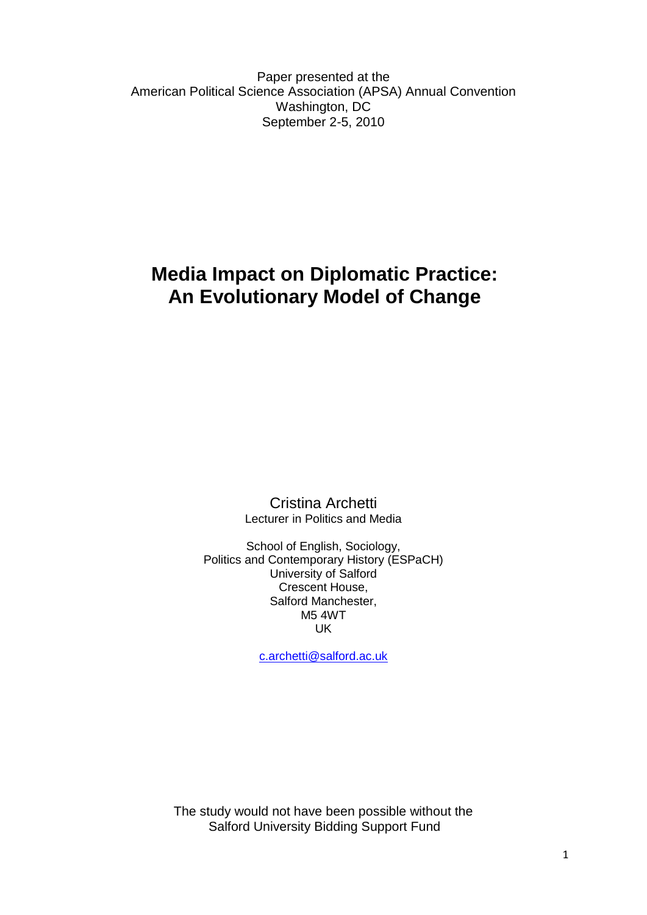Paper presented at the American Political Science Association (APSA) Annual Convention Washington, DC September 2-5, 2010

# **Media Impact on Diplomatic Practice: An Evolutionary Model of Change**

Cristina Archetti Lecturer in Politics and Media

School of English, Sociology, Politics and Contemporary History (ESPaCH) University of Salford Crescent House, Salford Manchester, M5 4WT UK

[c.archetti@salford.ac.uk](mailto:c.archetti@salford.ac.uk) 

The study would not have been possible without the Salford University Bidding Support Fund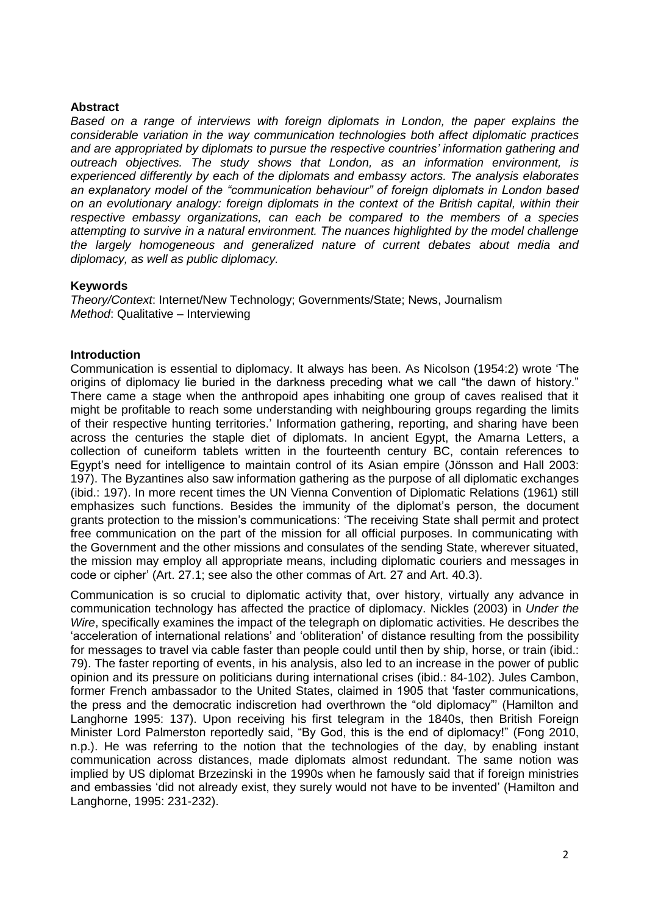# **Abstract**

*Based on a range of interviews with foreign diplomats in London, the paper explains the considerable variation in the way communication technologies both affect diplomatic practices and are appropriated by diplomats to pursue the respective countries" information gathering and outreach objectives. The study shows that London, as an information environment, is experienced differently by each of the diplomats and embassy actors. The analysis elaborates an explanatory model of the "communication behaviour" of foreign diplomats in London based on an evolutionary analogy: foreign diplomats in the context of the British capital, within their respective embassy organizations, can each be compared to the members of a species attempting to survive in a natural environment. The nuances highlighted by the model challenge the largely homogeneous and generalized nature of current debates about media and diplomacy, as well as public diplomacy.*

#### **Keywords**

*Theory/Context*: Internet/New Technology; Governments/State; News, Journalism *Method*: Qualitative – Interviewing

#### **Introduction**

Communication is essential to diplomacy. It always has been. As Nicolson (1954:2) wrote ‗The origins of diplomacy lie buried in the darkness preceding what we call "the dawn of history." There came a stage when the anthropoid apes inhabiting one group of caves realised that it might be profitable to reach some understanding with neighbouring groups regarding the limits of their respective hunting territories.' Information gathering, reporting, and sharing have been across the centuries the staple diet of diplomats. In ancient Egypt, the Amarna Letters, a collection of cuneiform tablets written in the fourteenth century BC, contain references to Egypt's need for intelligence to maintain control of its Asian empire (Jönsson and Hall 2003: 197). The Byzantines also saw information gathering as the purpose of all diplomatic exchanges (ibid.: 197). In more recent times the UN Vienna Convention of Diplomatic Relations (1961) still emphasizes such functions. Besides the immunity of the diplomat's person, the document grants protection to the mission's communications: ‗The receiving State shall permit and protect free communication on the part of the mission for all official purposes. In communicating with the Government and the other missions and consulates of the sending State, wherever situated, the mission may employ all appropriate means, including diplomatic couriers and messages in code or cipher' (Art. 27.1; see also the other commas of Art. 27 and Art. 40.3).

Communication is so crucial to diplomatic activity that, over history, virtually any advance in communication technology has affected the practice of diplomacy. Nickles (2003) in *Under the Wire*, specifically examines the impact of the telegraph on diplomatic activities. He describes the ‗acceleration of international relations' and ‗obliteration' of distance resulting from the possibility for messages to travel via cable faster than people could until then by ship, horse, or train (ibid.: 79). The faster reporting of events, in his analysis, also led to an increase in the power of public opinion and its pressure on politicians during international crises (ibid.: 84-102). Jules Cambon, former French ambassador to the United States, claimed in 1905 that 'faster communications, the press and the democratic indiscretion had overthrown the "old diplomacy" (Hamilton and Langhorne 1995: 137). Upon receiving his first telegram in the 1840s, then British Foreign Minister Lord Palmerston reportedly said, "By God, this is the end of diplomacy!" (Fong 2010, n.p.). He was referring to the notion that the technologies of the day, by enabling instant communication across distances, made diplomats almost redundant. The same notion was implied by US diplomat Brzezinski in the 1990s when he famously said that if foreign ministries and embassies ‗did not already exist, they surely would not have to be invented' (Hamilton and Langhorne, 1995: 231-232).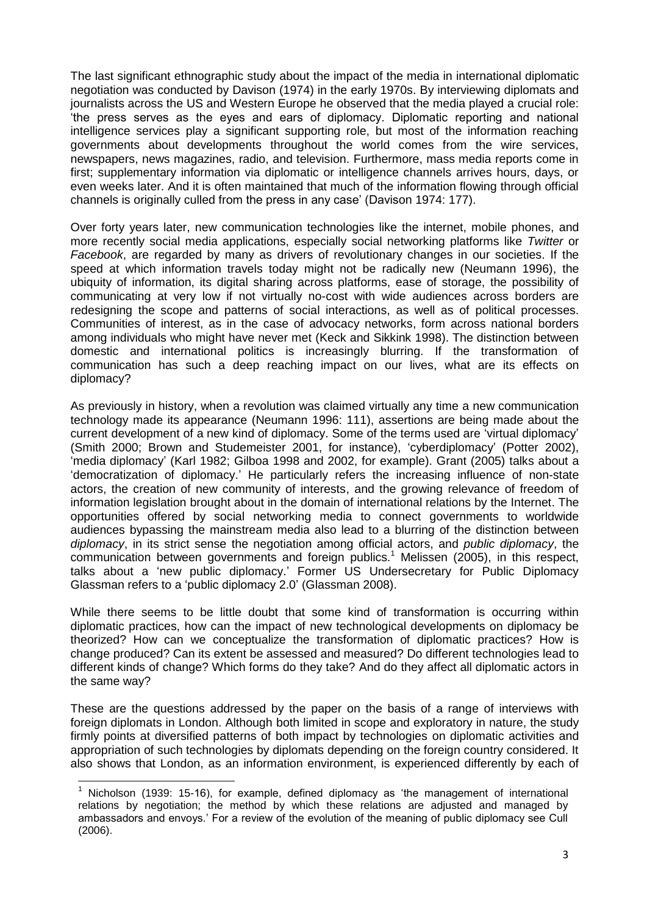The last significant ethnographic study about the impact of the media in international diplomatic negotiation was conducted by Davison (1974) in the early 1970s. By interviewing diplomats and journalists across the US and Western Europe he observed that the media played a crucial role: ‗the press serves as the eyes and ears of diplomacy. Diplomatic reporting and national intelligence services play a significant supporting role, but most of the information reaching governments about developments throughout the world comes from the wire services, newspapers, news magazines, radio, and television. Furthermore, mass media reports come in first; supplementary information via diplomatic or intelligence channels arrives hours, days, or even weeks later. And it is often maintained that much of the information flowing through official channels is originally culled from the press in any case' (Davison 1974: 177).

Over forty years later, new communication technologies like the internet, mobile phones, and more recently social media applications, especially social networking platforms like *Twitter* or *Facebook*, are regarded by many as drivers of revolutionary changes in our societies. If the speed at which information travels today might not be radically new (Neumann 1996), the ubiquity of information, its digital sharing across platforms, ease of storage, the possibility of communicating at very low if not virtually no-cost with wide audiences across borders are redesigning the scope and patterns of social interactions, as well as of political processes. Communities of interest, as in the case of advocacy networks, form across national borders among individuals who might have never met (Keck and Sikkink 1998). The distinction between domestic and international politics is increasingly blurring. If the transformation of communication has such a deep reaching impact on our lives, what are its effects on diplomacy?

As previously in history, when a revolution was claimed virtually any time a new communication technology made its appearance (Neumann 1996: 111), assertions are being made about the current development of a new kind of diplomacy. Some of the terms used are 'virtual diplomacy' (Smith 2000; Brown and Studemeister 2001, for instance), ‗cyberdiplomacy' (Potter 2002), ‗media diplomacy' (Karl 1982; Gilboa 1998 and 2002, for example). Grant (2005) talks about a 'democratization of diplomacy.' He particularly refers the increasing influence of non-state actors, the creation of new community of interests, and the growing relevance of freedom of information legislation brought about in the domain of international relations by the Internet. The opportunities offered by social networking media to connect governments to worldwide audiences bypassing the mainstream media also lead to a blurring of the distinction between *diplomacy*, in its strict sense the negotiation among official actors, and *public diplomacy*, the communication between governments and foreign publics.<sup>1</sup> Melissen (2005), in this respect, talks about a 'new public diplomacy.' Former US Undersecretary for Public Diplomacy Glassman refers to a 'public diplomacy 2.0' (Glassman 2008).

While there seems to be little doubt that some kind of transformation is occurring within diplomatic practices, how can the impact of new technological developments on diplomacy be theorized? How can we conceptualize the transformation of diplomatic practices? How is change produced? Can its extent be assessed and measured? Do different technologies lead to different kinds of change? Which forms do they take? And do they affect all diplomatic actors in the same way?

These are the questions addressed by the paper on the basis of a range of interviews with foreign diplomats in London. Although both limited in scope and exploratory in nature, the study firmly points at diversified patterns of both impact by technologies on diplomatic activities and appropriation of such technologies by diplomats depending on the foreign country considered. It also shows that London, as an information environment, is experienced differently by each of

**.** 

<sup>&</sup>lt;sup>1</sup> Nicholson (1939: 15-16), for example, defined diplomacy as 'the management of international relations by negotiation; the method by which these relations are adjusted and managed by ambassadors and envoys.' For a review of the evolution of the meaning of public diplomacy see Cull (2006).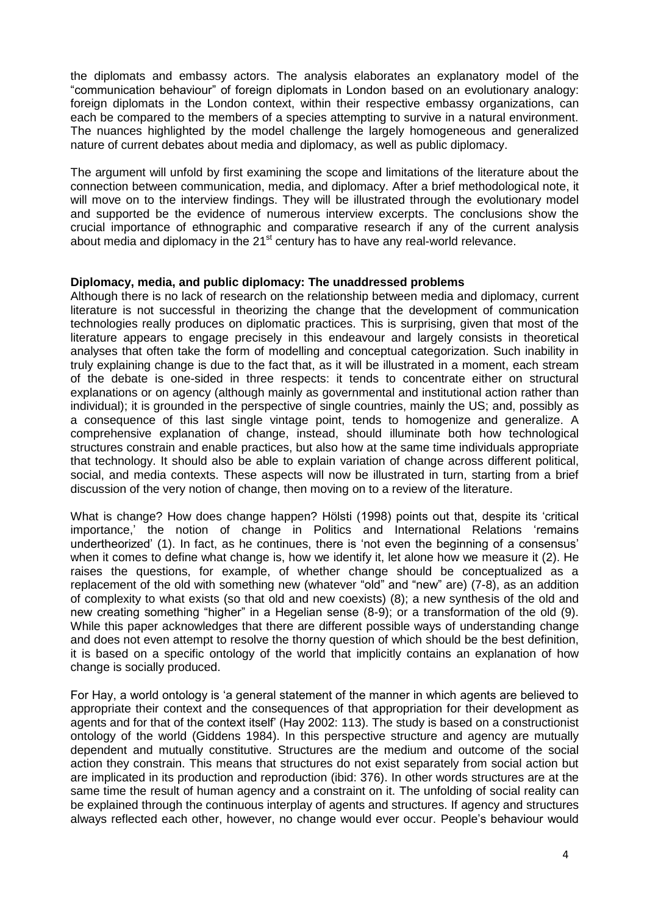the diplomats and embassy actors. The analysis elaborates an explanatory model of the ―communication behaviour‖ of foreign diplomats in London based on an evolutionary analogy: foreign diplomats in the London context, within their respective embassy organizations, can each be compared to the members of a species attempting to survive in a natural environment. The nuances highlighted by the model challenge the largely homogeneous and generalized nature of current debates about media and diplomacy, as well as public diplomacy.

The argument will unfold by first examining the scope and limitations of the literature about the connection between communication, media, and diplomacy. After a brief methodological note, it will move on to the interview findings. They will be illustrated through the evolutionary model and supported be the evidence of numerous interview excerpts. The conclusions show the crucial importance of ethnographic and comparative research if any of the current analysis about media and diplomacy in the  $21<sup>st</sup>$  century has to have any real-world relevance.

#### **Diplomacy, media, and public diplomacy: The unaddressed problems**

Although there is no lack of research on the relationship between media and diplomacy, current literature is not successful in theorizing the change that the development of communication technologies really produces on diplomatic practices. This is surprising, given that most of the literature appears to engage precisely in this endeavour and largely consists in theoretical analyses that often take the form of modelling and conceptual categorization. Such inability in truly explaining change is due to the fact that, as it will be illustrated in a moment, each stream of the debate is one-sided in three respects: it tends to concentrate either on structural explanations or on agency (although mainly as governmental and institutional action rather than individual); it is grounded in the perspective of single countries, mainly the US; and, possibly as a consequence of this last single vintage point, tends to homogenize and generalize. A comprehensive explanation of change, instead, should illuminate both how technological structures constrain and enable practices, but also how at the same time individuals appropriate that technology. It should also be able to explain variation of change across different political, social, and media contexts. These aspects will now be illustrated in turn, starting from a brief discussion of the very notion of change, then moving on to a review of the literature.

What is change? How does change happen? Hölsti (1998) points out that, despite its 'critical importance,' the notion of change in Politics and International Relations 'remains undertheorized' (1). In fact, as he continues, there is 'not even the beginning of a consensus' when it comes to define what change is, how we identify it, let alone how we measure it (2). He raises the questions, for example, of whether change should be conceptualized as a replacement of the old with something new (whatever "old" and "new" are) (7-8), as an addition of complexity to what exists (so that old and new coexists) (8); a new synthesis of the old and new creating something "higher" in a Hegelian sense (8-9); or a transformation of the old (9). While this paper acknowledges that there are different possible ways of understanding change and does not even attempt to resolve the thorny question of which should be the best definition, it is based on a specific ontology of the world that implicitly contains an explanation of how change is socially produced.

For Hay, a world ontology is 'a general statement of the manner in which agents are believed to appropriate their context and the consequences of that appropriation for their development as agents and for that of the context itself' (Hay 2002: 113). The study is based on a constructionist ontology of the world (Giddens 1984). In this perspective structure and agency are mutually dependent and mutually constitutive. Structures are the medium and outcome of the social action they constrain. This means that structures do not exist separately from social action but are implicated in its production and reproduction (ibid: 376). In other words structures are at the same time the result of human agency and a constraint on it. The unfolding of social reality can be explained through the continuous interplay of agents and structures. If agency and structures always reflected each other, however, no change would ever occur. People's behaviour would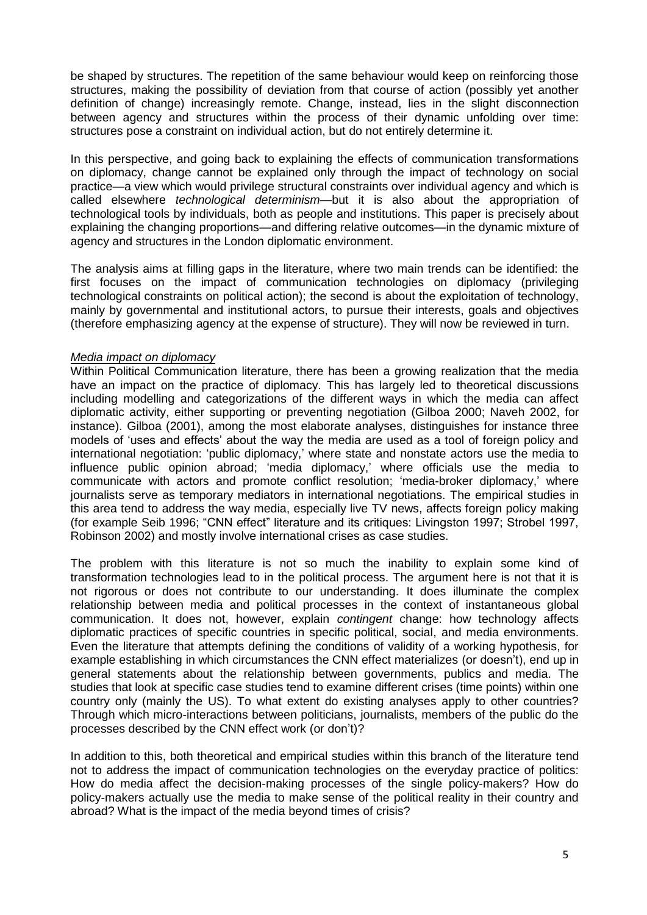be shaped by structures. The repetition of the same behaviour would keep on reinforcing those structures, making the possibility of deviation from that course of action (possibly yet another definition of change) increasingly remote. Change, instead, lies in the slight disconnection between agency and structures within the process of their dynamic unfolding over time: structures pose a constraint on individual action, but do not entirely determine it.

In this perspective, and going back to explaining the effects of communication transformations on diplomacy, change cannot be explained only through the impact of technology on social practice—a view which would privilege structural constraints over individual agency and which is called elsewhere *technological determinism*—but it is also about the appropriation of technological tools by individuals, both as people and institutions. This paper is precisely about explaining the changing proportions—and differing relative outcomes—in the dynamic mixture of agency and structures in the London diplomatic environment.

The analysis aims at filling gaps in the literature, where two main trends can be identified: the first focuses on the impact of communication technologies on diplomacy (privileging technological constraints on political action); the second is about the exploitation of technology, mainly by governmental and institutional actors, to pursue their interests, goals and objectives (therefore emphasizing agency at the expense of structure). They will now be reviewed in turn.

#### *Media impact on diplomacy*

Within Political Communication literature, there has been a growing realization that the media have an impact on the practice of diplomacy. This has largely led to theoretical discussions including modelling and categorizations of the different ways in which the media can affect diplomatic activity, either supporting or preventing negotiation (Gilboa 2000; Naveh 2002, for instance). Gilboa (2001), among the most elaborate analyses, distinguishes for instance three models of 'uses and effects' about the way the media are used as a tool of foreign policy and international negotiation: 'public diplomacy,' where state and nonstate actors use the media to influence public opinion abroad; 'media diplomacy,' where officials use the media to communicate with actors and promote conflict resolution; 'media-broker diplomacy,' where journalists serve as temporary mediators in international negotiations. The empirical studies in this area tend to address the way media, especially live TV news, affects foreign policy making (for example Seib 1996; "CNN effect" literature and its critiques: Livingston 1997; Strobel 1997, Robinson 2002) and mostly involve international crises as case studies.

The problem with this literature is not so much the inability to explain some kind of transformation technologies lead to in the political process. The argument here is not that it is not rigorous or does not contribute to our understanding. It does illuminate the complex relationship between media and political processes in the context of instantaneous global communication. It does not, however, explain *contingent* change: how technology affects diplomatic practices of specific countries in specific political, social, and media environments. Even the literature that attempts defining the conditions of validity of a working hypothesis, for example establishing in which circumstances the CNN effect materializes (or doesn't), end up in general statements about the relationship between governments, publics and media. The studies that look at specific case studies tend to examine different crises (time points) within one country only (mainly the US). To what extent do existing analyses apply to other countries? Through which micro-interactions between politicians, journalists, members of the public do the processes described by the CNN effect work (or don't)?

In addition to this, both theoretical and empirical studies within this branch of the literature tend not to address the impact of communication technologies on the everyday practice of politics: How do media affect the decision-making processes of the single policy-makers? How do policy-makers actually use the media to make sense of the political reality in their country and abroad? What is the impact of the media beyond times of crisis?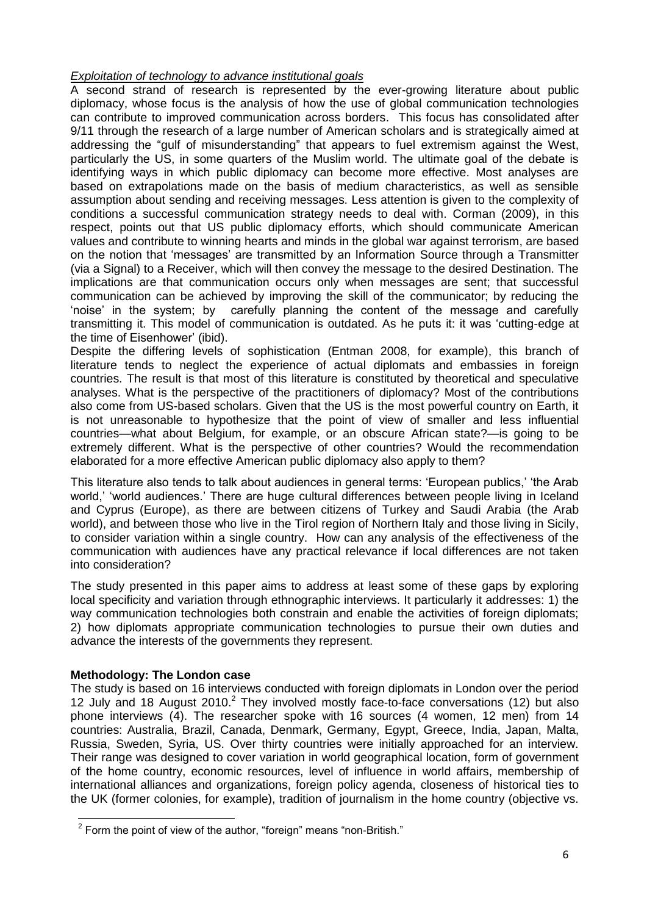# *Exploitation of technology to advance institutional goals*

A second strand of research is represented by the ever-growing literature about public diplomacy, whose focus is the analysis of how the use of global communication technologies can contribute to improved communication across borders. This focus has consolidated after 9/11 through the research of a large number of American scholars and is strategically aimed at addressing the "gulf of misunderstanding" that appears to fuel extremism against the West, particularly the US, in some quarters of the Muslim world. The ultimate goal of the debate is identifying ways in which public diplomacy can become more effective. Most analyses are based on extrapolations made on the basis of medium characteristics, as well as sensible assumption about sending and receiving messages. Less attention is given to the complexity of conditions a successful communication strategy needs to deal with. Corman (2009), in this respect, points out that US public diplomacy efforts, which should communicate American values and contribute to winning hearts and minds in the global war against terrorism, are based on the notion that 'messages' are transmitted by an Information Source through a Transmitter (via a Signal) to a Receiver, which will then convey the message to the desired Destination. The implications are that communication occurs only when messages are sent; that successful communication can be achieved by improving the skill of the communicator; by reducing the ‗noise' in the system; by carefully planning the content of the message and carefully transmitting it. This model of communication is outdated. As he puts it: it was 'cutting-edge at the time of Eisenhower' (ibid).

Despite the differing levels of sophistication (Entman 2008, for example), this branch of literature tends to neglect the experience of actual diplomats and embassies in foreign countries. The result is that most of this literature is constituted by theoretical and speculative analyses. What is the perspective of the practitioners of diplomacy? Most of the contributions also come from US-based scholars. Given that the US is the most powerful country on Earth, it is not unreasonable to hypothesize that the point of view of smaller and less influential countries—what about Belgium, for example, or an obscure African state?—is going to be extremely different. What is the perspective of other countries? Would the recommendation elaborated for a more effective American public diplomacy also apply to them?

This literature also tends to talk about audiences in general terms: 'European publics,' 'the Arab world,' 'world audiences.' There are huge cultural differences between people living in Iceland and Cyprus (Europe), as there are between citizens of Turkey and Saudi Arabia (the Arab world), and between those who live in the Tirol region of Northern Italy and those living in Sicily, to consider variation within a single country. How can any analysis of the effectiveness of the communication with audiences have any practical relevance if local differences are not taken into consideration?

The study presented in this paper aims to address at least some of these gaps by exploring local specificity and variation through ethnographic interviews. It particularly it addresses: 1) the way communication technologies both constrain and enable the activities of foreign diplomats; 2) how diplomats appropriate communication technologies to pursue their own duties and advance the interests of the governments they represent.

# **Methodology: The London case**

The study is based on 16 interviews conducted with foreign diplomats in London over the period 12 July and 18 August  $2010<sup>2</sup>$  They involved mostly face-to-face conversations (12) but also phone interviews (4). The researcher spoke with 16 sources (4 women, 12 men) from 14 countries: Australia, Brazil, Canada, Denmark, Germany, Egypt, Greece, India, Japan, Malta, Russia, Sweden, Syria, US. Over thirty countries were initially approached for an interview. Their range was designed to cover variation in world geographical location, form of government of the home country, economic resources, level of influence in world affairs, membership of international alliances and organizations, foreign policy agenda, closeness of historical ties to the UK (former colonies, for example), tradition of journalism in the home country (objective vs.

 2 Form the point of view of the author, ―foreign‖ means ―non-British.‖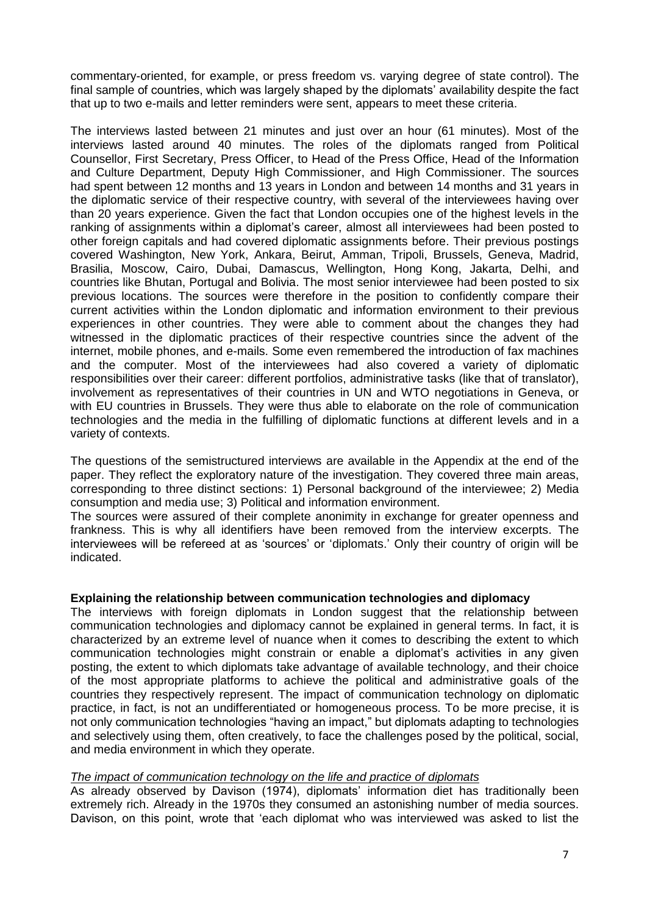commentary-oriented, for example, or press freedom vs. varying degree of state control). The final sample of countries, which was largely shaped by the diplomats' availability despite the fact that up to two e-mails and letter reminders were sent, appears to meet these criteria.

The interviews lasted between 21 minutes and just over an hour (61 minutes). Most of the interviews lasted around 40 minutes. The roles of the diplomats ranged from Political Counsellor, First Secretary, Press Officer, to Head of the Press Office, Head of the Information and Culture Department, Deputy High Commissioner, and High Commissioner. The sources had spent between 12 months and 13 years in London and between 14 months and 31 years in the diplomatic service of their respective country, with several of the interviewees having over than 20 years experience. Given the fact that London occupies one of the highest levels in the ranking of assignments within a diplomat's career, almost all interviewees had been posted to other foreign capitals and had covered diplomatic assignments before. Their previous postings covered Washington, New York, Ankara, Beirut, Amman, Tripoli, Brussels, Geneva, Madrid, Brasilia, Moscow, Cairo, Dubai, Damascus, Wellington, Hong Kong, Jakarta, Delhi, and countries like Bhutan, Portugal and Bolivia. The most senior interviewee had been posted to six previous locations. The sources were therefore in the position to confidently compare their current activities within the London diplomatic and information environment to their previous experiences in other countries. They were able to comment about the changes they had witnessed in the diplomatic practices of their respective countries since the advent of the internet, mobile phones, and e-mails. Some even remembered the introduction of fax machines and the computer. Most of the interviewees had also covered a variety of diplomatic responsibilities over their career: different portfolios, administrative tasks (like that of translator), involvement as representatives of their countries in UN and WTO negotiations in Geneva, or with EU countries in Brussels. They were thus able to elaborate on the role of communication technologies and the media in the fulfilling of diplomatic functions at different levels and in a variety of contexts.

The questions of the semistructured interviews are available in the Appendix at the end of the paper. They reflect the exploratory nature of the investigation. They covered three main areas, corresponding to three distinct sections: 1) Personal background of the interviewee; 2) Media consumption and media use; 3) Political and information environment.

The sources were assured of their complete anonimity in exchange for greater openness and frankness. This is why all identifiers have been removed from the interview excerpts. The interviewees will be refereed at as 'sources' or 'diplomats.' Only their country of origin will be indicated.

#### **Explaining the relationship between communication technologies and diplomacy**

The interviews with foreign diplomats in London suggest that the relationship between communication technologies and diplomacy cannot be explained in general terms. In fact, it is characterized by an extreme level of nuance when it comes to describing the extent to which communication technologies might constrain or enable a diplomat's activities in any given posting, the extent to which diplomats take advantage of available technology, and their choice of the most appropriate platforms to achieve the political and administrative goals of the countries they respectively represent. The impact of communication technology on diplomatic practice, in fact, is not an undifferentiated or homogeneous process. To be more precise, it is not only communication technologies "having an impact," but diplomats adapting to technologies and selectively using them, often creatively, to face the challenges posed by the political, social, and media environment in which they operate.

#### *The impact of communication technology on the life and practice of diplomats*

As already observed by Davison (1974), diplomats' information diet has traditionally been extremely rich. Already in the 1970s they consumed an astonishing number of media sources. Davison, on this point, wrote that 'each diplomat who was interviewed was asked to list the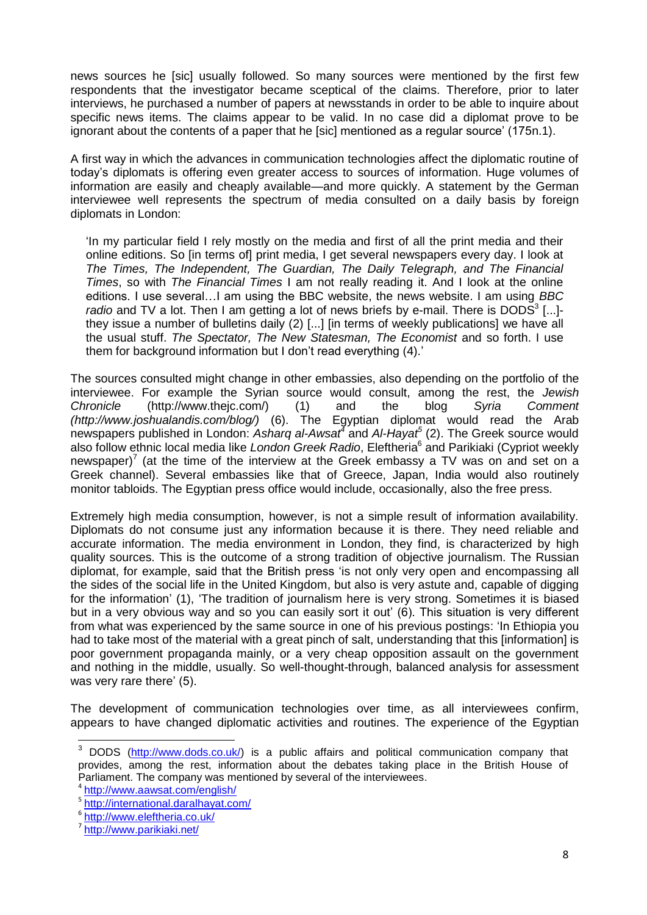news sources he [sic] usually followed. So many sources were mentioned by the first few respondents that the investigator became sceptical of the claims. Therefore, prior to later interviews, he purchased a number of papers at newsstands in order to be able to inquire about specific news items. The claims appear to be valid. In no case did a diplomat prove to be ignorant about the contents of a paper that he [sic] mentioned as a regular source' (175n.1).

A first way in which the advances in communication technologies affect the diplomatic routine of today's diplomats is offering even greater access to sources of information. Huge volumes of information are easily and cheaply available—and more quickly. A statement by the German interviewee well represents the spectrum of media consulted on a daily basis by foreign diplomats in London:

‗In my particular field I rely mostly on the media and first of all the print media and their online editions. So [in terms of] print media, I get several newspapers every day. I look at *The Times, The Independent, The Guardian, The Daily Telegraph, and The Financial Times*, so with *The Financial Times* I am not really reading it. And I look at the online editions. I use several…I am using the BBC website, the news website. I am using *BBC*  radio and TV a lot. Then I am getting a lot of news briefs by e-mail. There is DODS<sup>3</sup> [...]they issue a number of bulletins daily (2) [...] [in terms of weekly publications] we have all the usual stuff. *The Spectator, The New Statesman, The Economist* and so forth. I use them for background information but I don't read everything (4).'

The sources consulted might change in other embassies, also depending on the portfolio of the interviewee. For example the Syrian source would consult, among the rest, the *Jewish Chronicle* (http://www.thejc.com/) (1) and the blog *Syria Comment (http://www.joshualandis.com/blog/)* (6). The Egyptian diplomat would read the Arab newspapers published in London: *Asharq al-Awsat<sup>4</sup>* and *Al-Hayat<sup>5</sup>* (2). The Greek source would also follow ethnic local media like London Greek Radio, Eleftheria<sup>6</sup> and Parikiaki (Cypriot weekly newspaper)<sup>7</sup> (at the time of the interview at the Greek embassy a TV was on and set on a Greek channel). Several embassies like that of Greece, Japan, India would also routinely monitor tabloids. The Egyptian press office would include, occasionally, also the free press.

Extremely high media consumption, however, is not a simple result of information availability. Diplomats do not consume just any information because it is there. They need reliable and accurate information. The media environment in London, they find, is characterized by high quality sources. This is the outcome of a strong tradition of objective journalism. The Russian diplomat, for example, said that the British press 'is not only very open and encompassing all the sides of the social life in the United Kingdom, but also is very astute and, capable of digging for the information' (1), 'The tradition of journalism here is very strong. Sometimes it is biased but in a very obvious way and so you can easily sort it out' (6). This situation is very different from what was experienced by the same source in one of his previous postings: 'In Ethiopia you had to take most of the material with a great pinch of salt, understanding that this [information] is poor government propaganda mainly, or a very cheap opposition assault on the government and nothing in the middle, usually. So well-thought-through, balanced analysis for assessment was very rare there' (5).

The development of communication technologies over time, as all interviewees confirm, appears to have changed diplomatic activities and routines. The experience of the Egyptian

 $\overline{\phantom{a}}$ 

<sup>&</sup>lt;sup>3</sup> DODS [\(http://www.dods.co.uk/\)](http://www.dods.co.uk/) is a public affairs and political communication company that provides, among the rest, information about the debates taking place in the British House of Parliament. The company was mentioned by several of the interviewees.

<sup>4</sup> <http://www.aawsat.com/english/>

<sup>&</sup>lt;sup>5</sup> <http://international.daralhayat.com/>

<sup>6</sup> <http://www.eleftheria.co.uk/>

<sup>&</sup>lt;sup>7</sup> <http://www.parikiaki.net/>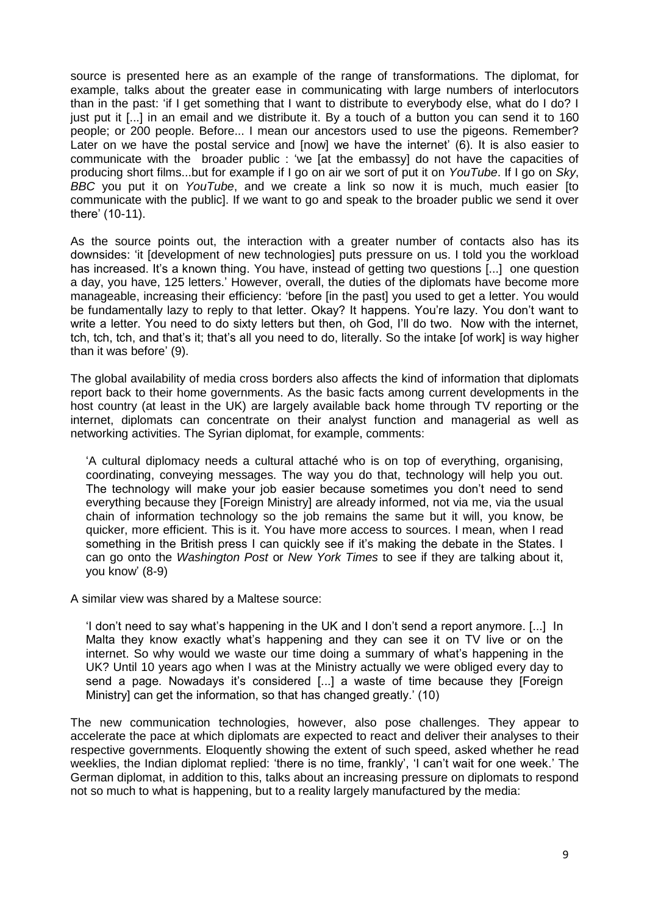source is presented here as an example of the range of transformations. The diplomat, for example, talks about the greater ease in communicating with large numbers of interlocutors than in the past: ‗if I get something that I want to distribute to everybody else, what do I do? I just put it [...] in an email and we distribute it. By a touch of a button you can send it to 160 people; or 200 people. Before... I mean our ancestors used to use the pigeons. Remember? Later on we have the postal service and [now] we have the internet' (6). It is also easier to communicate with the broader public : 'we [at the embassy] do not have the capacities of producing short films...but for example if I go on air we sort of put it on *YouTube*. If I go on *Sky*, *BBC* you put it on *YouTube*, and we create a link so now it is much, much easier [to communicate with the public]. If we want to go and speak to the broader public we send it over there' (10-11).

As the source points out, the interaction with a greater number of contacts also has its downsides: 'it [development of new technologies] puts pressure on us. I told you the workload has increased. It's a known thing. You have, instead of getting two questions [...] one question a day, you have, 125 letters.' However, overall, the duties of the diplomats have become more manageable, increasing their efficiency: 'before [in the past] you used to get a letter. You would be fundamentally lazy to reply to that letter. Okay? It happens. You're lazy. You don't want to write a letter. You need to do sixty letters but then, oh God, I'll do two. Now with the internet, tch, tch, tch, and that's it; that's all you need to do, literally. So the intake [of work] is way higher than it was before' (9).

The global availability of media cross borders also affects the kind of information that diplomats report back to their home governments. As the basic facts among current developments in the host country (at least in the UK) are largely available back home through TV reporting or the internet, diplomats can concentrate on their analyst function and managerial as well as networking activities. The Syrian diplomat, for example, comments:

‗A cultural diplomacy needs a cultural attaché who is on top of everything, organising, coordinating, conveying messages. The way you do that, technology will help you out. The technology will make your job easier because sometimes you don't need to send everything because they [Foreign Ministry] are already informed, not via me, via the usual chain of information technology so the job remains the same but it will, you know, be quicker, more efficient. This is it. You have more access to sources. I mean, when I read something in the British press I can quickly see if it's making the debate in the States. I can go onto the *Washington Post* or *New York Times* to see if they are talking about it, you know' (8-9)

A similar view was shared by a Maltese source:

I don't need to say what's happening in the UK and I don't send a report anymore. [...] In Malta they know exactly what's happening and they can see it on TV live or on the internet. So why would we waste our time doing a summary of what's happening in the UK? Until 10 years ago when I was at the Ministry actually we were obliged every day to send a page. Nowadays it's considered [...] a waste of time because they [Foreign Ministry] can get the information, so that has changed greatly.' (10)

The new communication technologies, however, also pose challenges. They appear to accelerate the pace at which diplomats are expected to react and deliver their analyses to their respective governments. Eloquently showing the extent of such speed, asked whether he read weeklies, the Indian diplomat replied: 'there is no time, frankly', 'I can't wait for one week.' The German diplomat, in addition to this, talks about an increasing pressure on diplomats to respond not so much to what is happening, but to a reality largely manufactured by the media: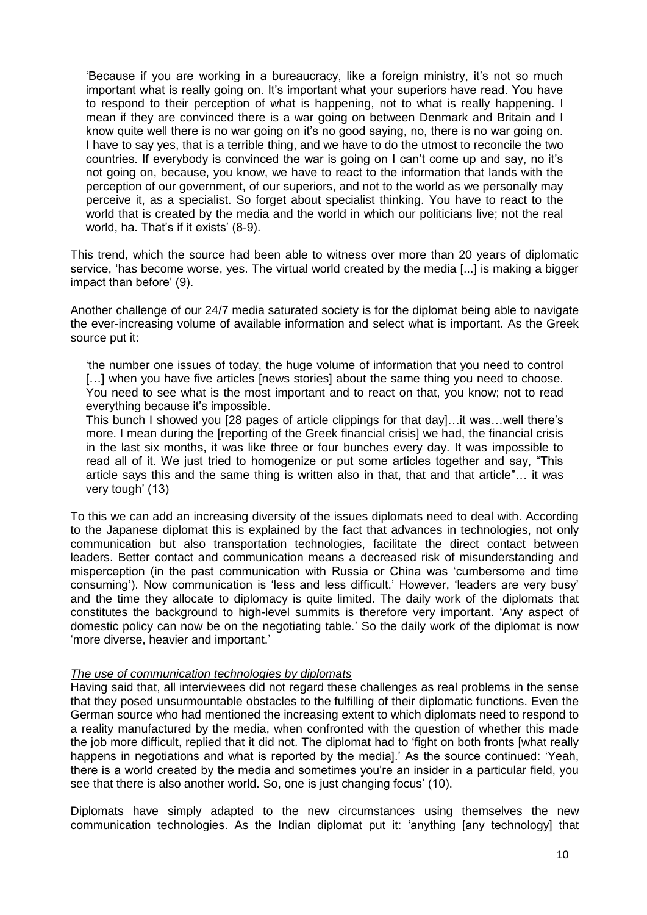‗Because if you are working in a bureaucracy, like a foreign ministry, it's not so much important what is really going on. It's important what your superiors have read. You have to respond to their perception of what is happening, not to what is really happening. I mean if they are convinced there is a war going on between Denmark and Britain and I know quite well there is no war going on it's no good saying, no, there is no war going on. I have to say yes, that is a terrible thing, and we have to do the utmost to reconcile the two countries. If everybody is convinced the war is going on I can't come up and say, no it's not going on, because, you know, we have to react to the information that lands with the perception of our government, of our superiors, and not to the world as we personally may perceive it, as a specialist. So forget about specialist thinking. You have to react to the world that is created by the media and the world in which our politicians live; not the real world, ha. That's if it exists' (8-9).

This trend, which the source had been able to witness over more than 20 years of diplomatic service, 'has become worse, yes. The virtual world created by the media [...] is making a bigger impact than before' (9).

Another challenge of our 24/7 media saturated society is for the diplomat being able to navigate the ever-increasing volume of available information and select what is important. As the Greek source put it:

‗the number one issues of today, the huge volume of information that you need to control [...] when you have five articles [news stories] about the same thing you need to choose. You need to see what is the most important and to react on that, you know; not to read everything because it's impossible.

This bunch I showed you [28 pages of article clippings for that day]…it was…well there's more. I mean during the [reporting of the Greek financial crisis] we had, the financial crisis in the last six months, it was like three or four bunches every day. It was impossible to read all of it. We just tried to homogenize or put some articles together and say, "This article says this and the same thing is written also in that, that and that article"... it was very tough' (13)

To this we can add an increasing diversity of the issues diplomats need to deal with. According to the Japanese diplomat this is explained by the fact that advances in technologies, not only communication but also transportation technologies, facilitate the direct contact between leaders. Better contact and communication means a decreased risk of misunderstanding and misperception (in the past communication with Russia or China was 'cumbersome and time consuming'). Now communication is 'less and less difficult.' However, 'leaders are very busy' and the time they allocate to diplomacy is quite limited. The daily work of the diplomats that constitutes the background to high-level summits is therefore very important. ‗Any aspect of domestic policy can now be on the negotiating table.' So the daily work of the diplomat is now ‗more diverse, heavier and important.'

#### *The use of communication technologies by diplomats*

Having said that, all interviewees did not regard these challenges as real problems in the sense that they posed unsurmountable obstacles to the fulfilling of their diplomatic functions. Even the German source who had mentioned the increasing extent to which diplomats need to respond to a reality manufactured by the media, when confronted with the question of whether this made the job more difficult, replied that it did not. The diplomat had to 'fight on both fronts [what really happens in negotiations and what is reported by the medial.' As the source continued: 'Yeah, there is a world created by the media and sometimes you're an insider in a particular field, you see that there is also another world. So, one is just changing focus' (10).

Diplomats have simply adapted to the new circumstances using themselves the new communication technologies. As the Indian diplomat put it: ‗anything [any technology] that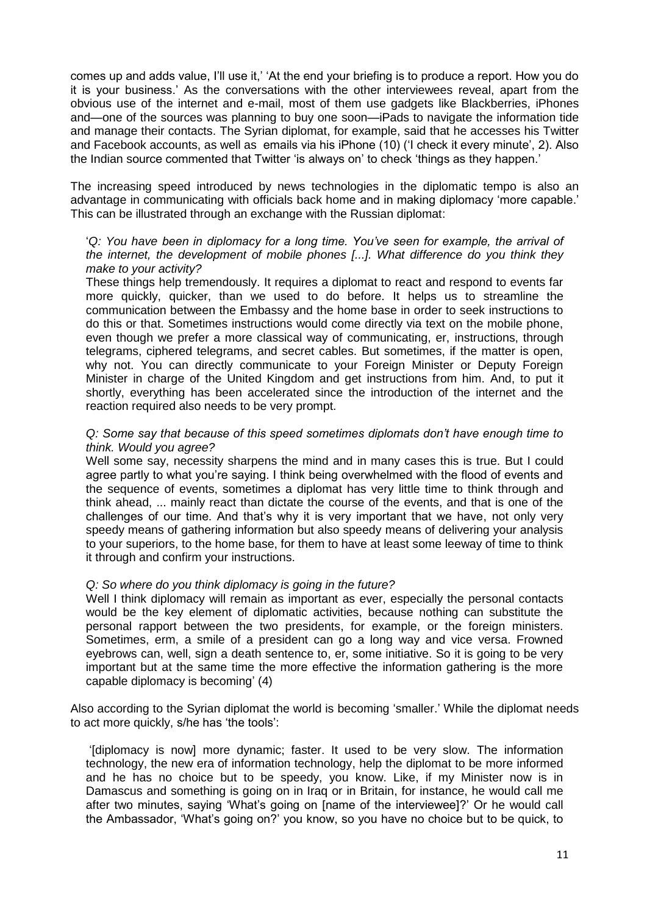comes up and adds value, I'll use it,' ‗At the end your briefing is to produce a report. How you do it is your business.' As the conversations with the other interviewees reveal, apart from the obvious use of the internet and e-mail, most of them use gadgets like Blackberries, iPhones and—one of the sources was planning to buy one soon—iPads to navigate the information tide and manage their contacts. The Syrian diplomat, for example, said that he accesses his Twitter and Facebook accounts, as well as emails via his iPhone (10) (1 check it every minute', 2). Also the Indian source commented that Twitter 'is always on' to check 'things as they happen.'

The increasing speed introduced by news technologies in the diplomatic tempo is also an advantage in communicating with officials back home and in making diplomacy 'more capable.' This can be illustrated through an exchange with the Russian diplomat:

#### ‗*Q: You have been in diplomacy for a long time. You"ve seen for example, the arrival of the internet, the development of mobile phones [...]. What difference do you think they make to your activity?*

These things help tremendously. It requires a diplomat to react and respond to events far more quickly, quicker, than we used to do before. It helps us to streamline the communication between the Embassy and the home base in order to seek instructions to do this or that. Sometimes instructions would come directly via text on the mobile phone, even though we prefer a more classical way of communicating, er, instructions, through telegrams, ciphered telegrams, and secret cables. But sometimes, if the matter is open, why not. You can directly communicate to your Foreign Minister or Deputy Foreign Minister in charge of the United Kingdom and get instructions from him. And, to put it shortly, everything has been accelerated since the introduction of the internet and the reaction required also needs to be very prompt.

#### *Q: Some say that because of this speed sometimes diplomats don"t have enough time to think. Would you agree?*

Well some say, necessity sharpens the mind and in many cases this is true. But I could agree partly to what you're saying. I think being overwhelmed with the flood of events and the sequence of events, sometimes a diplomat has very little time to think through and think ahead, ... mainly react than dictate the course of the events, and that is one of the challenges of our time. And that's why it is very important that we have, not only very speedy means of gathering information but also speedy means of delivering your analysis to your superiors, to the home base, for them to have at least some leeway of time to think it through and confirm your instructions.

# *Q: So where do you think diplomacy is going in the future?*

Well I think diplomacy will remain as important as ever, especially the personal contacts would be the key element of diplomatic activities, because nothing can substitute the personal rapport between the two presidents, for example, or the foreign ministers. Sometimes, erm, a smile of a president can go a long way and vice versa. Frowned eyebrows can, well, sign a death sentence to, er, some initiative. So it is going to be very important but at the same time the more effective the information gathering is the more capable diplomacy is becoming' (4)

Also according to the Syrian diplomat the world is becoming 'smaller.' While the diplomat needs to act more quickly, s/he has 'the tools':

‗[diplomacy is now] more dynamic; faster. It used to be very slow. The information technology, the new era of information technology, help the diplomat to be more informed and he has no choice but to be speedy, you know. Like, if my Minister now is in Damascus and something is going on in Iraq or in Britain, for instance, he would call me after two minutes, saying 'What's going on [name of the interviewee]?' Or he would call the Ambassador, ‗What's going on?' you know, so you have no choice but to be quick, to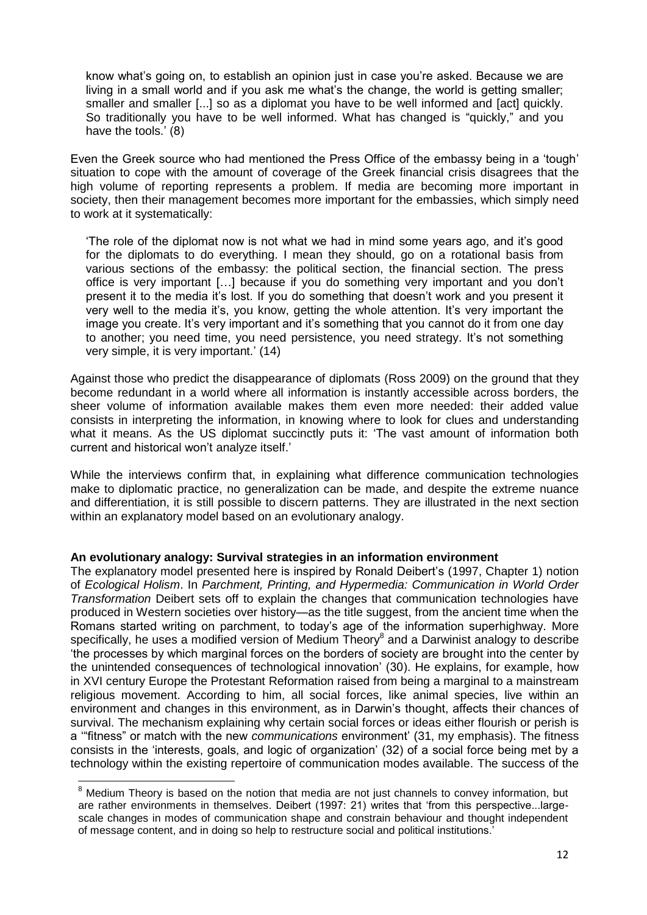know what's going on, to establish an opinion just in case you're asked. Because we are living in a small world and if you ask me what's the change, the world is getting smaller; smaller and smaller [...] so as a diplomat you have to be well informed and [act] quickly. So traditionally you have to be well informed. What has changed is "guickly," and you have the tools.' (8)

Even the Greek source who had mentioned the Press Office of the embassy being in a 'tough' situation to cope with the amount of coverage of the Greek financial crisis disagrees that the high volume of reporting represents a problem. If media are becoming more important in society, then their management becomes more important for the embassies, which simply need to work at it systematically:

‗The role of the diplomat now is not what we had in mind some years ago, and it's good for the diplomats to do everything. I mean they should, go on a rotational basis from various sections of the embassy: the political section, the financial section. The press office is very important […] because if you do something very important and you don't present it to the media it's lost. If you do something that doesn't work and you present it very well to the media it's, you know, getting the whole attention. It's very important the image you create. It's very important and it's something that you cannot do it from one day to another; you need time, you need persistence, you need strategy. It's not something very simple, it is very important.' (14)

Against those who predict the disappearance of diplomats (Ross 2009) on the ground that they become redundant in a world where all information is instantly accessible across borders, the sheer volume of information available makes them even more needed: their added value consists in interpreting the information, in knowing where to look for clues and understanding what it means. As the US diplomat succinctly puts it: 'The vast amount of information both current and historical won't analyze itself.'

While the interviews confirm that, in explaining what difference communication technologies make to diplomatic practice, no generalization can be made, and despite the extreme nuance and differentiation, it is still possible to discern patterns. They are illustrated in the next section within an explanatory model based on an evolutionary analogy.

# **An evolutionary analogy: Survival strategies in an information environment**

The explanatory model presented here is inspired by Ronald Deibert's (1997, Chapter 1) notion of *Ecological Holism*. In *Parchment, Printing, and Hypermedia: Communication in World Order Transformation* Deibert sets off to explain the changes that communication technologies have produced in Western societies over history—as the title suggest, from the ancient time when the Romans started writing on parchment, to today's age of the information superhighway. More specifically, he uses a modified version of Medium Theory $^8$  and a Darwinist analogy to describe ‗the processes by which marginal forces on the borders of society are brought into the center by the unintended consequences of technological innovation' (30). He explains, for example, how in XVI century Europe the Protestant Reformation raised from being a marginal to a mainstream religious movement. According to him, all social forces, like animal species, live within an environment and changes in this environment, as in Darwin's thought, affects their chances of survival. The mechanism explaining why certain social forces or ideas either flourish or perish is a "fitness" or match with the new *communications* environment' (31, my emphasis). The fitness consists in the 'interests, goals, and logic of organization' (32) of a social force being met by a technology within the existing repertoire of communication modes available. The success of the

**.** 

 $8$  Medium Theory is based on the notion that media are not just channels to convey information, but are rather environments in themselves. Deibert (1997: 21) writes that 'from this perspective...largescale changes in modes of communication shape and constrain behaviour and thought independent of message content, and in doing so help to restructure social and political institutions.'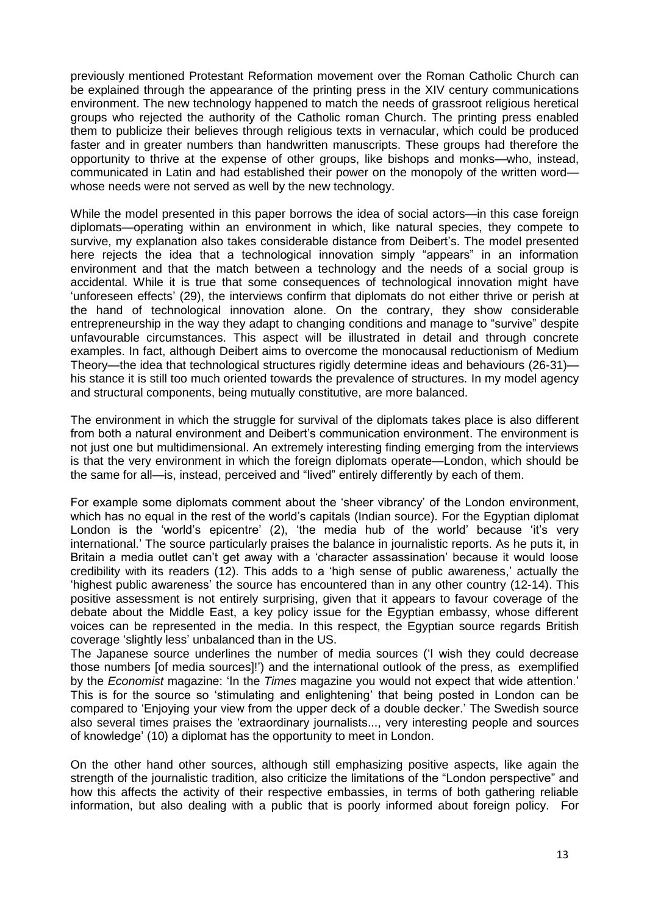previously mentioned Protestant Reformation movement over the Roman Catholic Church can be explained through the appearance of the printing press in the XIV century communications environment. The new technology happened to match the needs of grassroot religious heretical groups who rejected the authority of the Catholic roman Church. The printing press enabled them to publicize their believes through religious texts in vernacular, which could be produced faster and in greater numbers than handwritten manuscripts. These groups had therefore the opportunity to thrive at the expense of other groups, like bishops and monks—who, instead, communicated in Latin and had established their power on the monopoly of the written word whose needs were not served as well by the new technology.

While the model presented in this paper borrows the idea of social actors—in this case foreign diplomats—operating within an environment in which, like natural species, they compete to survive, my explanation also takes considerable distance from Deibert's. The model presented here rejects the idea that a technological innovation simply "appears" in an information environment and that the match between a technology and the needs of a social group is accidental. While it is true that some consequences of technological innovation might have ‗unforeseen effects' (29), the interviews confirm that diplomats do not either thrive or perish at the hand of technological innovation alone. On the contrary, they show considerable entrepreneurship in the way they adapt to changing conditions and manage to "survive" despite unfavourable circumstances. This aspect will be illustrated in detail and through concrete examples. In fact, although Deibert aims to overcome the monocausal reductionism of Medium Theory—the idea that technological structures rigidly determine ideas and behaviours (26-31) his stance it is still too much oriented towards the prevalence of structures. In my model agency and structural components, being mutually constitutive, are more balanced.

The environment in which the struggle for survival of the diplomats takes place is also different from both a natural environment and Deibert's communication environment. The environment is not just one but multidimensional. An extremely interesting finding emerging from the interviews is that the very environment in which the foreign diplomats operate—London, which should be the same for all—is, instead, perceived and "lived" entirely differently by each of them.

For example some diplomats comment about the 'sheer vibrancy' of the London environment, which has no equal in the rest of the world's capitals (Indian source). For the Egyptian diplomat London is the 'world's epicentre' (2), 'the media hub of the world' because 'it's very international.' The source particularly praises the balance in journalistic reports. As he puts it, in Britain a media outlet can't get away with a 'character assassination' because it would loose credibility with its readers (12). This adds to a 'high sense of public awareness,' actually the ‗highest public awareness' the source has encountered than in any other country (12-14). This positive assessment is not entirely surprising, given that it appears to favour coverage of the debate about the Middle East, a key policy issue for the Egyptian embassy, whose different voices can be represented in the media. In this respect, the Egyptian source regards British coverage ‗slightly less' unbalanced than in the US.

The Japanese source underlines the number of media sources (1 wish they could decrease those numbers [of media sources]!') and the international outlook of the press, as exemplified by the *Economist* magazine: 'In the *Times* magazine you would not expect that wide attention.' This is for the source so 'stimulating and enlightening' that being posted in London can be compared to 'Enjoying your view from the upper deck of a double decker.' The Swedish source also several times praises the 'extraordinary journalists..., very interesting people and sources of knowledge' (10) a diplomat has the opportunity to meet in London.

On the other hand other sources, although still emphasizing positive aspects, like again the strength of the journalistic tradition, also criticize the limitations of the "London perspective" and how this affects the activity of their respective embassies, in terms of both gathering reliable information, but also dealing with a public that is poorly informed about foreign policy. For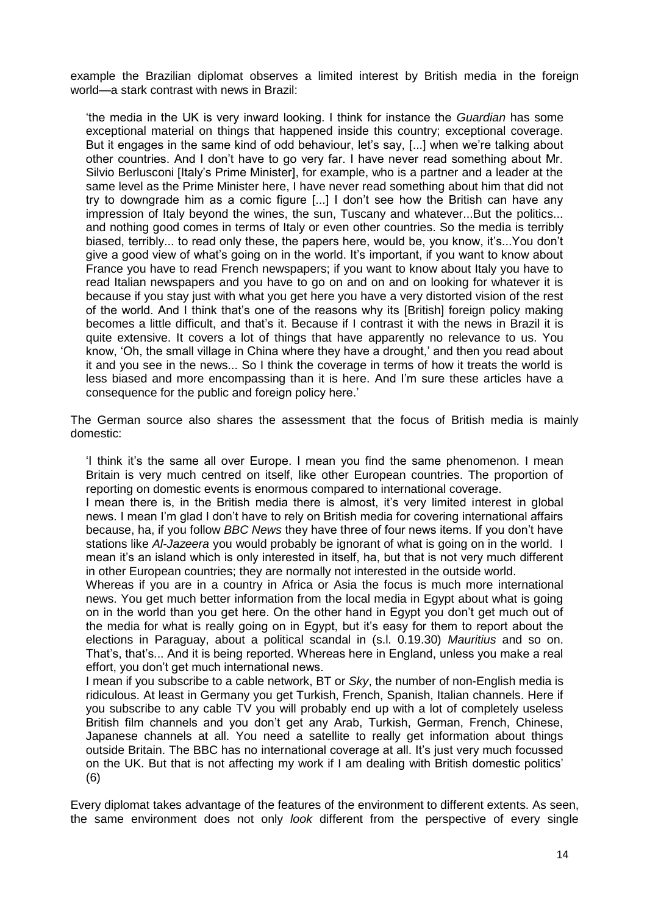example the Brazilian diplomat observes a limited interest by British media in the foreign world—a stark contrast with news in Brazil:

‗the media in the UK is very inward looking. I think for instance the *Guardian* has some exceptional material on things that happened inside this country; exceptional coverage. But it engages in the same kind of odd behaviour, let's say, [...] when we're talking about other countries. And I don't have to go very far. I have never read something about Mr. Silvio Berlusconi [Italy's Prime Minister], for example, who is a partner and a leader at the same level as the Prime Minister here, I have never read something about him that did not try to downgrade him as a comic figure [...] I don't see how the British can have any impression of Italy beyond the wines, the sun, Tuscany and whatever...But the politics... and nothing good comes in terms of Italy or even other countries. So the media is terribly biased, terribly... to read only these, the papers here, would be, you know, it's...You don't give a good view of what's going on in the world. It's important, if you want to know about France you have to read French newspapers; if you want to know about Italy you have to read Italian newspapers and you have to go on and on and on looking for whatever it is because if you stay just with what you get here you have a very distorted vision of the rest of the world. And I think that's one of the reasons why its [British] foreign policy making becomes a little difficult, and that's it. Because if I contrast it with the news in Brazil it is quite extensive. It covers a lot of things that have apparently no relevance to us. You know, ‗Oh, the small village in China where they have a drought,' and then you read about it and you see in the news... So I think the coverage in terms of how it treats the world is less biased and more encompassing than it is here. And I'm sure these articles have a consequence for the public and foreign policy here.'

The German source also shares the assessment that the focus of British media is mainly domestic:

I think it's the same all over Europe. I mean you find the same phenomenon. I mean Britain is very much centred on itself, like other European countries. The proportion of reporting on domestic events is enormous compared to international coverage.

I mean there is, in the British media there is almost, it's very limited interest in global news. I mean I'm glad I don't have to rely on British media for covering international affairs because, ha, if you follow *BBC News* they have three of four news items. If you don't have stations like *Al-Jazeera* you would probably be ignorant of what is going on in the world. I mean it's an island which is only interested in itself, ha, but that is not very much different in other European countries; they are normally not interested in the outside world.

Whereas if you are in a country in Africa or Asia the focus is much more international news. You get much better information from the local media in Egypt about what is going on in the world than you get here. On the other hand in Egypt you don't get much out of the media for what is really going on in Egypt, but it's easy for them to report about the elections in Paraguay, about a political scandal in (s.l. 0.19.30) *Mauritius* and so on. That's, that's... And it is being reported. Whereas here in England, unless you make a real effort, you don't get much international news.

I mean if you subscribe to a cable network, BT or *Sky*, the number of non-English media is ridiculous. At least in Germany you get Turkish, French, Spanish, Italian channels. Here if you subscribe to any cable TV you will probably end up with a lot of completely useless British film channels and you don't get any Arab, Turkish, German, French, Chinese, Japanese channels at all. You need a satellite to really get information about things outside Britain. The BBC has no international coverage at all. It's just very much focussed on the UK. But that is not affecting my work if I am dealing with British domestic politics' (6)

Every diplomat takes advantage of the features of the environment to different extents. As seen, the same environment does not only *look* different from the perspective of every single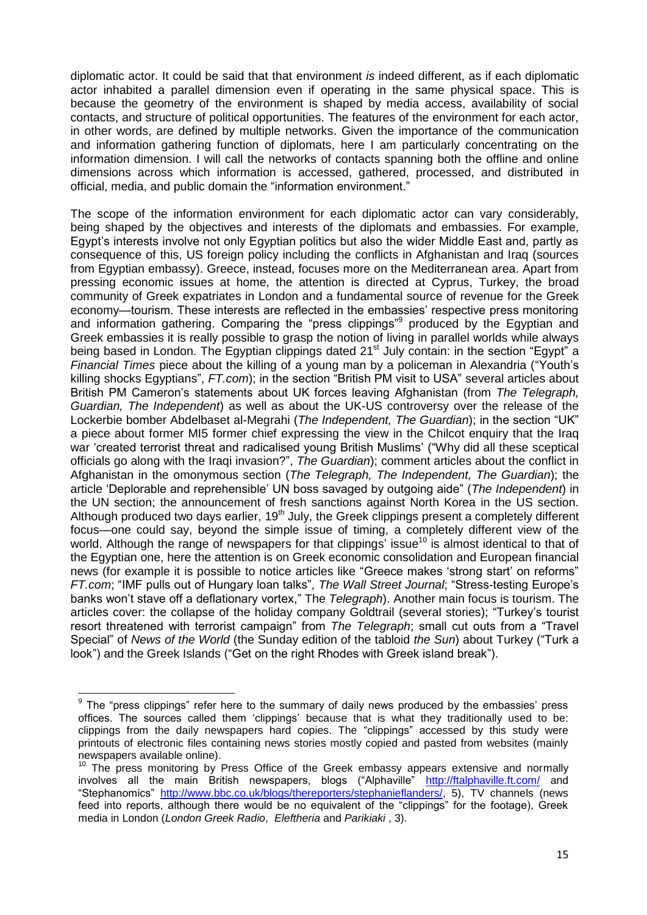diplomatic actor. It could be said that that environment *is* indeed different, as if each diplomatic actor inhabited a parallel dimension even if operating in the same physical space. This is because the geometry of the environment is shaped by media access, availability of social contacts, and structure of political opportunities. The features of the environment for each actor, in other words, are defined by multiple networks. Given the importance of the communication and information gathering function of diplomats, here I am particularly concentrating on the information dimension. I will call the networks of contacts spanning both the offline and online dimensions across which information is accessed, gathered, processed, and distributed in official, media, and public domain the "information environment."

The scope of the information environment for each diplomatic actor can vary considerably, being shaped by the objectives and interests of the diplomats and embassies. For example, Egypt's interests involve not only Egyptian politics but also the wider Middle East and, partly as consequence of this, US foreign policy including the conflicts in Afghanistan and Iraq (sources from Egyptian embassy). Greece, instead, focuses more on the Mediterranean area. Apart from pressing economic issues at home, the attention is directed at Cyprus, Turkey, the broad community of Greek expatriates in London and a fundamental source of revenue for the Greek economy—tourism. These interests are reflected in the embassies' respective press monitoring and information gathering. Comparing the "press clippings"<sup>9</sup> produced by the Egyptian and Greek embassies it is really possible to grasp the notion of living in parallel worlds while always being based in London. The Egyptian clippings dated  $21<sup>st</sup>$  July contain: in the section "Egypt" a *Financial Times* piece about the killing of a young man by a policeman in Alexandria ("Youth's killing shocks Egyptians", *FT.com*); in the section "British PM visit to USA" several articles about British PM Cameron's statements about UK forces leaving Afghanistan (from *The Telegraph, Guardian, The Independent*) as well as about the UK-US controversy over the release of the Lockerbie bomber Abdelbaset al-Megrahi (*The Independent, The Guardian*); in the section "UK" a piece about former MI5 former chief expressing the view in the Chilcot enquiry that the Iraq war 'created terrorist threat and radicalised young British Muslims' ("Why did all these sceptical officials go along with the Iraqi invasion?", *The Guardian*); comment articles about the conflict in Afghanistan in the omonymous section (*The Telegraph, The Independent, The Guardian*); the article ‗Deplorable and reprehensible' UN boss savaged by outgoing aide‖ (*The Independent*) in the UN section; the announcement of fresh sanctions against North Korea in the US section. Although produced two days earlier,  $19<sup>th</sup>$  July, the Greek clippings present a completely different focus—one could say, beyond the simple issue of timing, a completely different view of the world. Although the range of newspapers for that clippings' issue<sup>10</sup> is almost identical to that of the Egyptian one, here the attention is on Greek economic consolidation and European financial news (for example it is possible to notice articles like "Greece makes 'strong start' on reforms" *FT.com*; "IMF pulls out of Hungary loan talks", The Wall Street Journal; "Stress-testing Europe's banks won't stave off a deflationary vortex," The *Telegraph*). Another main focus is tourism. The articles cover: the collapse of the holiday company Goldtrail (several stories); "Turkey's tourist resort threatened with terrorist campaign" from *The Telegraph*; small cut outs from a "Travel Special" of *News of the World* (the Sunday edition of the tabloid *the Sun*) about Turkey ("Turk a look") and the Greek Islands ("Get on the right Rhodes with Greek island break").

 9 The ―press clippings‖ refer here to the summary of daily news produced by the embassies' press offices. The sources called them 'clippings' because that is what they traditionally used to be: clippings from the daily newspapers hard copies. The "clippings" accessed by this study were printouts of electronic files containing news stories mostly copied and pasted from websites (mainly newspapers available online).

 $10$  The press monitoring by Press Office of the Greek embassy appears extensive and normally involves all the main British newspapers, blogs ("Alphaville" <http://ftalphaville.ft.com/> and ―Stephanomics‖ [http://www.bbc.co.uk/blogs/thereporters/stephanieflanders/,](http://www.bbc.co.uk/blogs/thereporters/stephanieflanders/) 5), TV channels (news feed into reports, although there would be no equivalent of the "clippings" for the footage), Greek media in London (*London Greek Radio*, *Eleftheria* and *Parikiaki* , 3).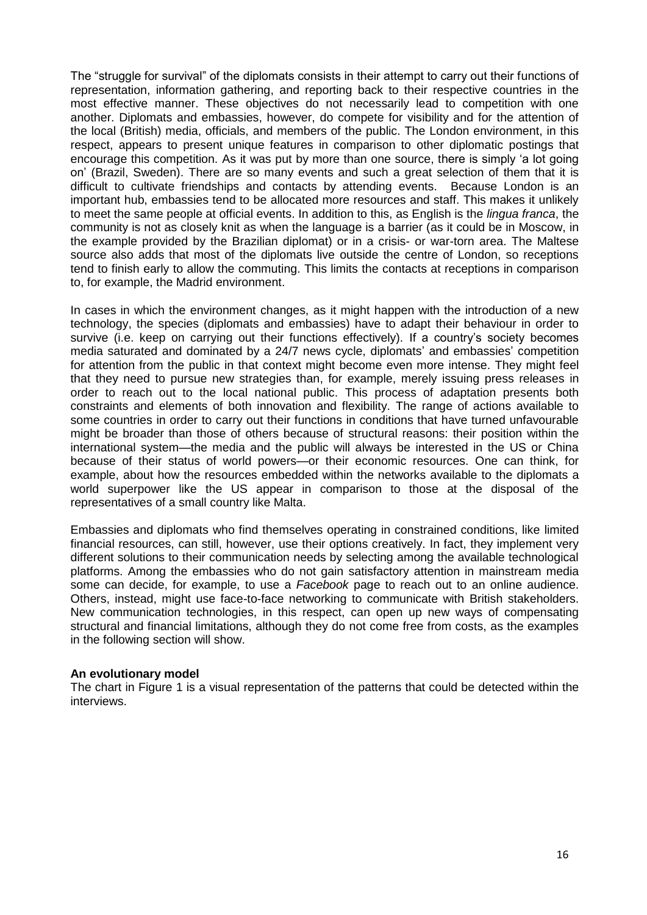The "struggle for survival" of the diplomats consists in their attempt to carry out their functions of representation, information gathering, and reporting back to their respective countries in the most effective manner. These objectives do not necessarily lead to competition with one another. Diplomats and embassies, however, do compete for visibility and for the attention of the local (British) media, officials, and members of the public. The London environment, in this respect, appears to present unique features in comparison to other diplomatic postings that encourage this competition. As it was put by more than one source, there is simply 'a lot going on' (Brazil, Sweden). There are so many events and such a great selection of them that it is difficult to cultivate friendships and contacts by attending events. Because London is an important hub, embassies tend to be allocated more resources and staff. This makes it unlikely to meet the same people at official events. In addition to this, as English is the *lingua franca*, the community is not as closely knit as when the language is a barrier (as it could be in Moscow, in the example provided by the Brazilian diplomat) or in a crisis- or war-torn area. The Maltese source also adds that most of the diplomats live outside the centre of London, so receptions tend to finish early to allow the commuting. This limits the contacts at receptions in comparison to, for example, the Madrid environment.

In cases in which the environment changes, as it might happen with the introduction of a new technology, the species (diplomats and embassies) have to adapt their behaviour in order to survive (i.e. keep on carrying out their functions effectively). If a country's society becomes media saturated and dominated by a 24/7 news cycle, diplomats' and embassies' competition for attention from the public in that context might become even more intense. They might feel that they need to pursue new strategies than, for example, merely issuing press releases in order to reach out to the local national public. This process of adaptation presents both constraints and elements of both innovation and flexibility. The range of actions available to some countries in order to carry out their functions in conditions that have turned unfavourable might be broader than those of others because of structural reasons: their position within the international system—the media and the public will always be interested in the US or China because of their status of world powers—or their economic resources. One can think, for example, about how the resources embedded within the networks available to the diplomats a world superpower like the US appear in comparison to those at the disposal of the representatives of a small country like Malta.

Embassies and diplomats who find themselves operating in constrained conditions, like limited financial resources, can still, however, use their options creatively. In fact, they implement very different solutions to their communication needs by selecting among the available technological platforms. Among the embassies who do not gain satisfactory attention in mainstream media some can decide, for example, to use a *Facebook* page to reach out to an online audience. Others, instead, might use face-to-face networking to communicate with British stakeholders. New communication technologies, in this respect, can open up new ways of compensating structural and financial limitations, although they do not come free from costs, as the examples in the following section will show.

#### **An evolutionary model**

The chart in Figure 1 is a visual representation of the patterns that could be detected within the interviews.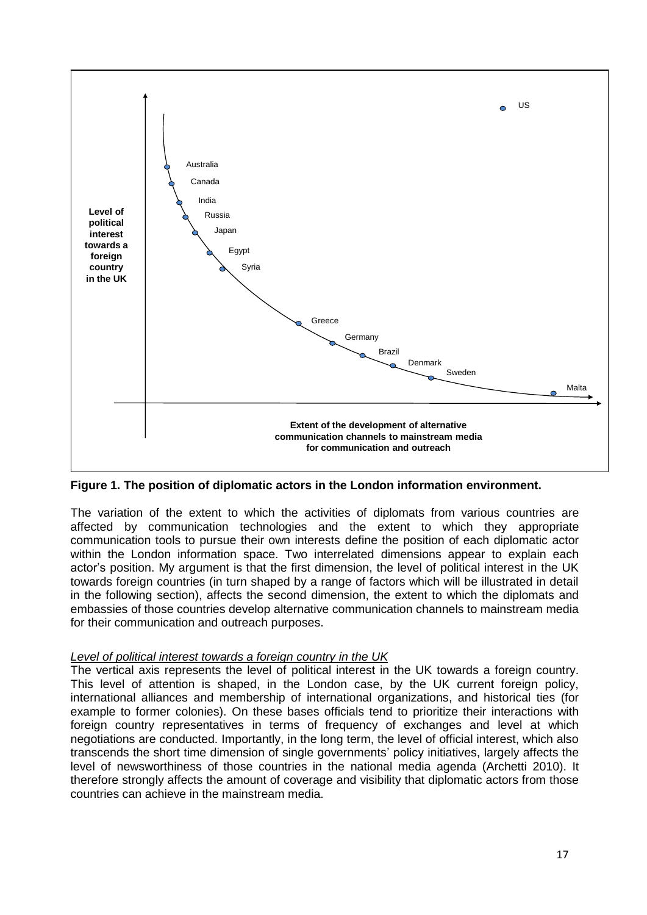

**Figure 1. The position of diplomatic actors in the London information environment.**

The variation of the extent to which the activities of diplomats from various countries are affected by communication technologies and the extent to which they appropriate communication tools to pursue their own interests define the position of each diplomatic actor within the London information space. Two interrelated dimensions appear to explain each actor's position. My argument is that the first dimension, the level of political interest in the UK towards foreign countries (in turn shaped by a range of factors which will be illustrated in detail in the following section), affects the second dimension, the extent to which the diplomats and embassies of those countries develop alternative communication channels to mainstream media for their communication and outreach purposes.

# *Level of political interest towards a foreign country in the UK*

The vertical axis represents the level of political interest in the UK towards a foreign country. This level of attention is shaped, in the London case, by the UK current foreign policy, international alliances and membership of international organizations, and historical ties (for example to former colonies). On these bases officials tend to prioritize their interactions with foreign country representatives in terms of frequency of exchanges and level at which negotiations are conducted. Importantly, in the long term, the level of official interest, which also transcends the short time dimension of single governments' policy initiatives, largely affects the level of newsworthiness of those countries in the national media agenda (Archetti 2010). It therefore strongly affects the amount of coverage and visibility that diplomatic actors from those countries can achieve in the mainstream media.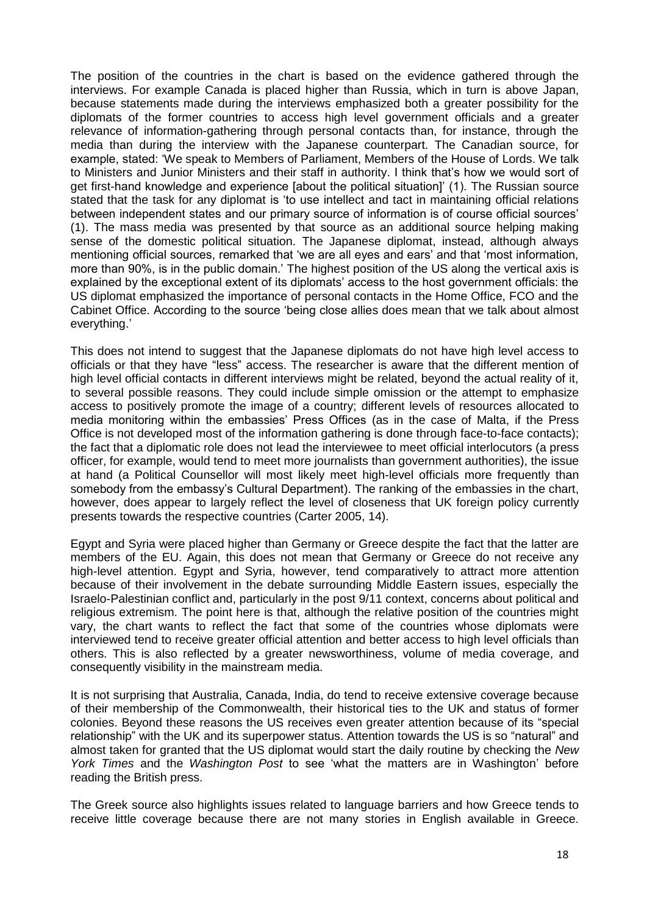The position of the countries in the chart is based on the evidence gathered through the interviews. For example Canada is placed higher than Russia, which in turn is above Japan, because statements made during the interviews emphasized both a greater possibility for the diplomats of the former countries to access high level government officials and a greater relevance of information-gathering through personal contacts than, for instance, through the media than during the interview with the Japanese counterpart. The Canadian source, for example, stated: 'We speak to Members of Parliament, Members of the House of Lords. We talk to Ministers and Junior Ministers and their staff in authority. I think that's how we would sort of get first-hand knowledge and experience [about the political situation]' (1). The Russian source stated that the task for any diplomat is 'to use intellect and tact in maintaining official relations between independent states and our primary source of information is of course official sources' (1). The mass media was presented by that source as an additional source helping making sense of the domestic political situation. The Japanese diplomat, instead, although always mentioning official sources, remarked that 'we are all eyes and ears' and that 'most information, more than 90%, is in the public domain.' The highest position of the US along the vertical axis is explained by the exceptional extent of its diplomats' access to the host government officials: the US diplomat emphasized the importance of personal contacts in the Home Office, FCO and the Cabinet Office. According to the source 'being close allies does mean that we talk about almost everything.'

This does not intend to suggest that the Japanese diplomats do not have high level access to officials or that they have "less" access. The researcher is aware that the different mention of high level official contacts in different interviews might be related, beyond the actual reality of it, to several possible reasons. They could include simple omission or the attempt to emphasize access to positively promote the image of a country; different levels of resources allocated to media monitoring within the embassies' Press Offices (as in the case of Malta, if the Press Office is not developed most of the information gathering is done through face-to-face contacts); the fact that a diplomatic role does not lead the interviewee to meet official interlocutors (a press officer, for example, would tend to meet more journalists than government authorities), the issue at hand (a Political Counsellor will most likely meet high-level officials more frequently than somebody from the embassy's Cultural Department). The ranking of the embassies in the chart, however, does appear to largely reflect the level of closeness that UK foreign policy currently presents towards the respective countries (Carter 2005, 14).

Egypt and Syria were placed higher than Germany or Greece despite the fact that the latter are members of the EU. Again, this does not mean that Germany or Greece do not receive any high-level attention. Egypt and Syria, however, tend comparatively to attract more attention because of their involvement in the debate surrounding Middle Eastern issues, especially the Israelo-Palestinian conflict and, particularly in the post 9/11 context, concerns about political and religious extremism. The point here is that, although the relative position of the countries might vary, the chart wants to reflect the fact that some of the countries whose diplomats were interviewed tend to receive greater official attention and better access to high level officials than others. This is also reflected by a greater newsworthiness, volume of media coverage, and consequently visibility in the mainstream media.

It is not surprising that Australia, Canada, India, do tend to receive extensive coverage because of their membership of the Commonwealth, their historical ties to the UK and status of former colonies. Beyond these reasons the US receives even greater attention because of its "special relationship" with the UK and its superpower status. Attention towards the US is so "natural" and almost taken for granted that the US diplomat would start the daily routine by checking the *New York Times* and the *Washington Post* to see 'what the matters are in Washington' before reading the British press.

The Greek source also highlights issues related to language barriers and how Greece tends to receive little coverage because there are not many stories in English available in Greece.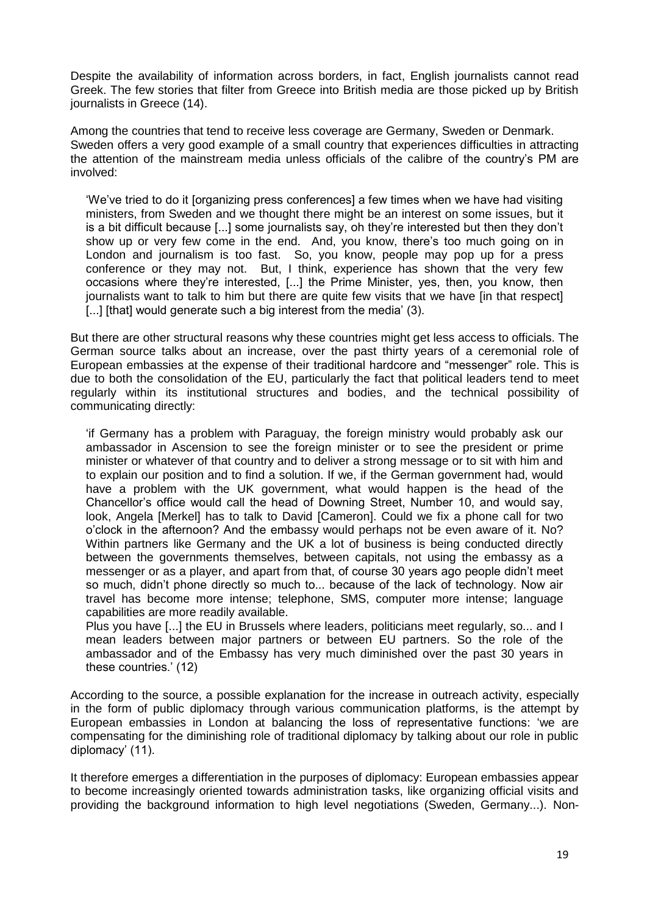Despite the availability of information across borders, in fact, English journalists cannot read Greek. The few stories that filter from Greece into British media are those picked up by British journalists in Greece (14).

Among the countries that tend to receive less coverage are Germany, Sweden or Denmark. Sweden offers a very good example of a small country that experiences difficulties in attracting the attention of the mainstream media unless officials of the calibre of the country's PM are involved:

‗We've tried to do it [organizing press conferences] a few times when we have had visiting ministers, from Sweden and we thought there might be an interest on some issues, but it is a bit difficult because [...] some journalists say, oh they're interested but then they don't show up or very few come in the end. And, you know, there's too much going on in London and journalism is too fast. So, you know, people may pop up for a press conference or they may not. But, I think, experience has shown that the very few occasions where they're interested, [...] the Prime Minister, yes, then, you know, then journalists want to talk to him but there are quite few visits that we have [in that respect] [...] [that] would generate such a big interest from the media' (3).

But there are other structural reasons why these countries might get less access to officials. The German source talks about an increase, over the past thirty years of a ceremonial role of European embassies at the expense of their traditional hardcore and "messenger" role. This is due to both the consolidation of the EU, particularly the fact that political leaders tend to meet regularly within its institutional structures and bodies, and the technical possibility of communicating directly:

‗if Germany has a problem with Paraguay, the foreign ministry would probably ask our ambassador in Ascension to see the foreign minister or to see the president or prime minister or whatever of that country and to deliver a strong message or to sit with him and to explain our position and to find a solution. If we, if the German government had, would have a problem with the UK government, what would happen is the head of the Chancellor's office would call the head of Downing Street, Number 10, and would say, look, Angela [Merkel] has to talk to David [Cameron]. Could we fix a phone call for two o'clock in the afternoon? And the embassy would perhaps not be even aware of it. No? Within partners like Germany and the UK a lot of business is being conducted directly between the governments themselves, between capitals, not using the embassy as a messenger or as a player, and apart from that, of course 30 years ago people didn't meet so much, didn't phone directly so much to... because of the lack of technology. Now air travel has become more intense; telephone, SMS, computer more intense; language capabilities are more readily available.

Plus you have [...] the EU in Brussels where leaders, politicians meet regularly, so... and I mean leaders between major partners or between EU partners. So the role of the ambassador and of the Embassy has very much diminished over the past 30 years in these countries.' (12)

According to the source, a possible explanation for the increase in outreach activity, especially in the form of public diplomacy through various communication platforms, is the attempt by European embassies in London at balancing the loss of representative functions: ‗we are compensating for the diminishing role of traditional diplomacy by talking about our role in public diplomacy' (11).

It therefore emerges a differentiation in the purposes of diplomacy: European embassies appear to become increasingly oriented towards administration tasks, like organizing official visits and providing the background information to high level negotiations (Sweden, Germany...). Non-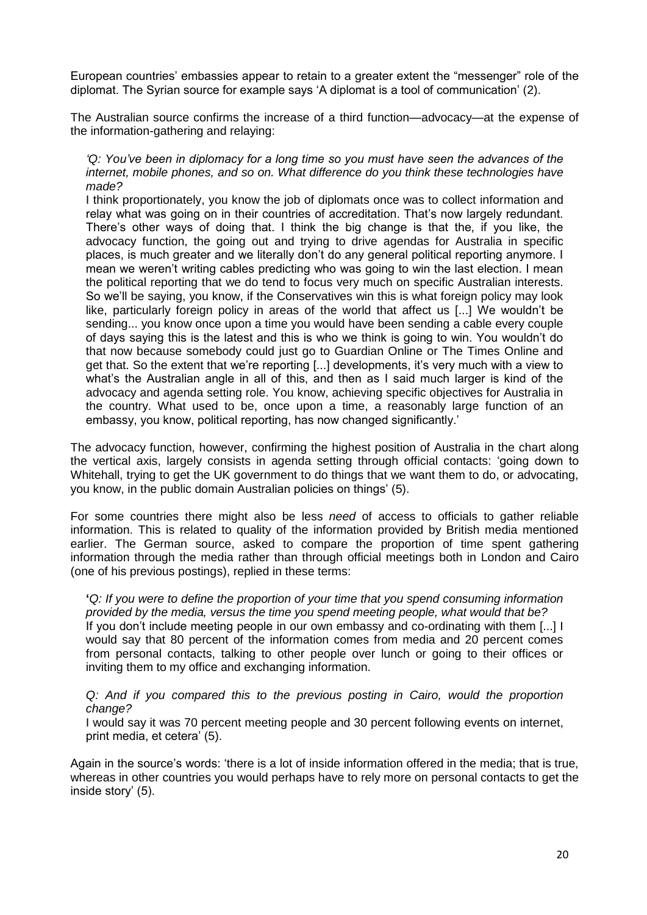European countries' embassies appear to retain to a greater extent the "messenger" role of the diplomat. The Syrian source for example says ‗A diplomat is a tool of communication' (2).

The Australian source confirms the increase of a third function—advocacy—at the expense of the information-gathering and relaying:

#### *'Q: You've been in diplomacy for a long time so you must have seen the advances of the internet, mobile phones, and so on. What difference do you think these technologies have made?*

I think proportionately, you know the job of diplomats once was to collect information and relay what was going on in their countries of accreditation. That's now largely redundant. There's other ways of doing that. I think the big change is that the, if you like, the advocacy function, the going out and trying to drive agendas for Australia in specific places, is much greater and we literally don't do any general political reporting anymore. I mean we weren't writing cables predicting who was going to win the last election. I mean the political reporting that we do tend to focus very much on specific Australian interests. So we'll be saying, you know, if the Conservatives win this is what foreign policy may look like, particularly foreign policy in areas of the world that affect us [...] We wouldn't be sending... you know once upon a time you would have been sending a cable every couple of days saying this is the latest and this is who we think is going to win. You wouldn't do that now because somebody could just go to Guardian Online or The Times Online and get that. So the extent that we're reporting [...] developments, it's very much with a view to what's the Australian angle in all of this, and then as I said much larger is kind of the advocacy and agenda setting role. You know, achieving specific objectives for Australia in the country. What used to be, once upon a time, a reasonably large function of an embassy, you know, political reporting, has now changed significantly.'

The advocacy function, however, confirming the highest position of Australia in the chart along the vertical axis, largely consists in agenda setting through official contacts: ‗going down to Whitehall, trying to get the UK government to do things that we want them to do, or advocating, you know, in the public domain Australian policies on things' (5).

For some countries there might also be less *need* of access to officials to gather reliable information. This is related to quality of the information provided by British media mentioned earlier. The German source, asked to compare the proportion of time spent gathering information through the media rather than through official meetings both in London and Cairo (one of his previous postings), replied in these terms:

**'***Q: If you were to define the proportion of your time that you spend consuming information provided by the media, versus the time you spend meeting people, what would that be?* If you don't include meeting people in our own embassy and co-ordinating with them [...] I would say that 80 percent of the information comes from media and 20 percent comes from personal contacts, talking to other people over lunch or going to their offices or inviting them to my office and exchanging information.

# *Q: And if you compared this to the previous posting in Cairo, would the proportion change?*

I would say it was 70 percent meeting people and 30 percent following events on internet, print media, et cetera' (5).

Again in the source's words: 'there is a lot of inside information offered in the media; that is true, whereas in other countries you would perhaps have to rely more on personal contacts to get the inside story' (5).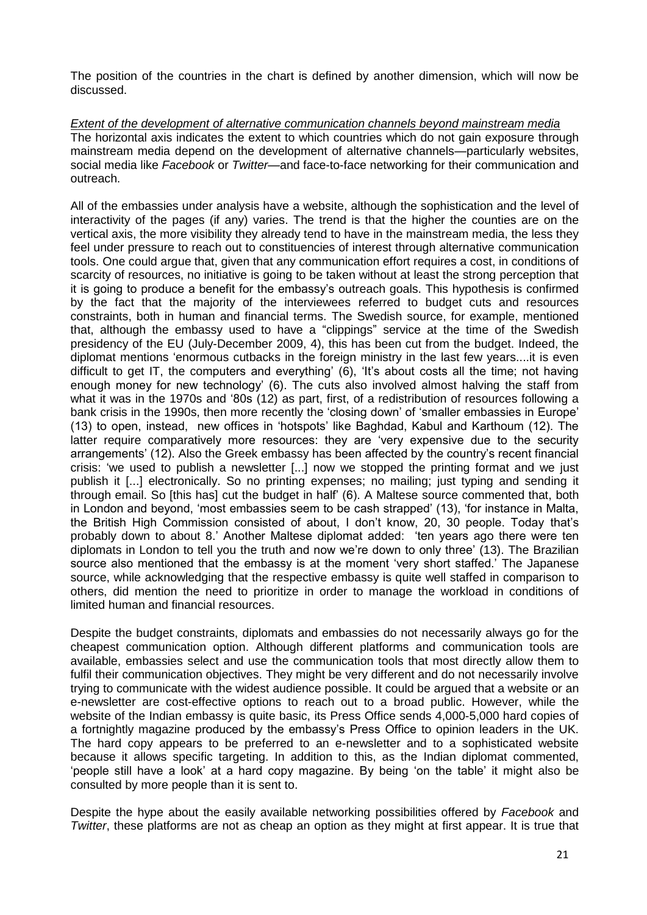The position of the countries in the chart is defined by another dimension, which will now be discussed.

*Extent of the development of alternative communication channels beyond mainstream media*  The horizontal axis indicates the extent to which countries which do not gain exposure through mainstream media depend on the development of alternative channels—particularly websites, social media like *Facebook* or *Twitter*—and face-to-face networking for their communication and outreach.

All of the embassies under analysis have a website, although the sophistication and the level of interactivity of the pages (if any) varies. The trend is that the higher the counties are on the vertical axis, the more visibility they already tend to have in the mainstream media, the less they feel under pressure to reach out to constituencies of interest through alternative communication tools. One could argue that, given that any communication effort requires a cost, in conditions of scarcity of resources, no initiative is going to be taken without at least the strong perception that it is going to produce a benefit for the embassy's outreach goals. This hypothesis is confirmed by the fact that the majority of the interviewees referred to budget cuts and resources constraints, both in human and financial terms. The Swedish source, for example, mentioned that, although the embassy used to have a "clippings" service at the time of the Swedish presidency of the EU (July-December 2009, 4), this has been cut from the budget. Indeed, the diplomat mentions ‗enormous cutbacks in the foreign ministry in the last few years....it is even difficult to get IT, the computers and everything' (6), 'It's about costs all the time; not having enough money for new technology' (6). The cuts also involved almost halving the staff from what it was in the 1970s and '80s (12) as part, first, of a redistribution of resources following a bank crisis in the 1990s, then more recently the 'closing down' of 'smaller embassies in Europe' (13) to open, instead, new offices in ‗hotspots' like Baghdad, Kabul and Karthoum (12). The latter require comparatively more resources: they are 'very expensive due to the security arrangements' (12). Also the Greek embassy has been affected by the country's recent financial crisis: ‗we used to publish a newsletter [...] now we stopped the printing format and we just publish it [...] electronically. So no printing expenses; no mailing; just typing and sending it through email. So [this has] cut the budget in half' (6). A Maltese source commented that, both in London and beyond, 'most embassies seem to be cash strapped' (13), 'for instance in Malta, the British High Commission consisted of about, I don't know, 20, 30 people. Today that's probably down to about 8.' Another Maltese diplomat added: 'ten years ago there were ten diplomats in London to tell you the truth and now we're down to only three' (13). The Brazilian source also mentioned that the embassy is at the moment 'very short staffed.' The Japanese source, while acknowledging that the respective embassy is quite well staffed in comparison to others, did mention the need to prioritize in order to manage the workload in conditions of limited human and financial resources.

Despite the budget constraints, diplomats and embassies do not necessarily always go for the cheapest communication option. Although different platforms and communication tools are available, embassies select and use the communication tools that most directly allow them to fulfil their communication objectives. They might be very different and do not necessarily involve trying to communicate with the widest audience possible. It could be argued that a website or an e-newsletter are cost-effective options to reach out to a broad public. However, while the website of the Indian embassy is quite basic, its Press Office sends 4,000-5,000 hard copies of a fortnightly magazine produced by the embassy's Press Office to opinion leaders in the UK. The hard copy appears to be preferred to an e-newsletter and to a sophisticated website because it allows specific targeting. In addition to this, as the Indian diplomat commented, ‗people still have a look' at a hard copy magazine. By being ‗on the table' it might also be consulted by more people than it is sent to.

Despite the hype about the easily available networking possibilities offered by *Facebook* and *Twitter*, these platforms are not as cheap an option as they might at first appear. It is true that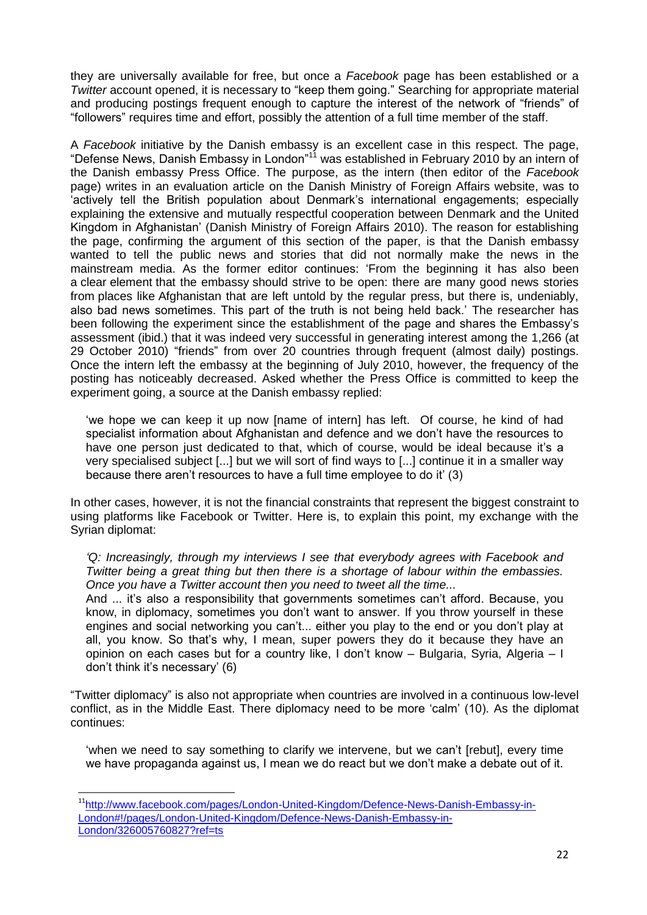they are universally available for free, but once a *Facebook* page has been established or a *Twitter* account opened, it is necessary to "keep them going." Searching for appropriate material and producing postings frequent enough to capture the interest of the network of "friends" of ―followers‖ requires time and effort, possibly the attention of a full time member of the staff.

A *Facebook* initiative by the Danish embassy is an excellent case in this respect. The page, "Defense News, Danish Embassy in London"<sup>11</sup> was established in February 2010 by an intern of the Danish embassy Press Office. The purpose, as the intern (then editor of the *Facebook* page) writes in an evaluation article on the Danish Ministry of Foreign Affairs website, was to ‗actively tell the British population about Denmark's international engagements; especially explaining the extensive and mutually respectful cooperation between Denmark and the United Kingdom in Afghanistan' (Danish Ministry of Foreign Affairs 2010). The reason for establishing the page, confirming the argument of this section of the paper, is that the Danish embassy wanted to tell the public news and stories that did not normally make the news in the mainstream media. As the former editor continues: 'From the beginning it has also been a clear element that the embassy should strive to be open: there are many good news stories from places like Afghanistan that are left untold by the regular press, but there is, undeniably, also bad news sometimes. This part of the truth is not being held back.' The researcher has been following the experiment since the establishment of the page and shares the Embassy's assessment (ibid.) that it was indeed very successful in generating interest among the 1,266 (at 29 October 2010) "friends" from over 20 countries through frequent (almost daily) postings. Once the intern left the embassy at the beginning of July 2010, however, the frequency of the posting has noticeably decreased. Asked whether the Press Office is committed to keep the experiment going, a source at the Danish embassy replied:

‗we hope we can keep it up now [name of intern] has left. Of course, he kind of had specialist information about Afghanistan and defence and we don't have the resources to have one person just dedicated to that, which of course, would be ideal because it's a very specialised subject [...] but we will sort of find ways to [...] continue it in a smaller way because there aren't resources to have a full time employee to do it' (3)

In other cases, however, it is not the financial constraints that represent the biggest constraint to using platforms like Facebook or Twitter. Here is, to explain this point, my exchange with the Syrian diplomat:

*'Q: Increasingly, through my interviews I see that everybody agrees with Facebook and Twitter being a great thing but then there is a shortage of labour within the embassies. Once you have a Twitter account then you need to tweet all the time...*

And ... it's also a responsibility that governments sometimes can't afford. Because, you know, in diplomacy, sometimes you don't want to answer. If you throw yourself in these engines and social networking you can't... either you play to the end or you don't play at all, you know. So that's why, I mean, super powers they do it because they have an opinion on each cases but for a country like, I don't know – Bulgaria, Syria, Algeria – I don't think it's necessary' (6)

―Twitter diplomacy‖ is also not appropriate when countries are involved in a continuous low-level conflict, as in the Middle East. There diplomacy need to be more 'calm' (10). As the diplomat continues:

‗when we need to say something to clarify we intervene, but we can't [rebut], every time we have propaganda against us, I mean we do react but we don't make a debate out of it.

**.** 

<sup>11</sup>[http://www.facebook.com/pages/London-United-Kingdom/Defence-News-Danish-Embassy-in-](http://www.facebook.com/pages/London-United-Kingdom/Defence-News-Danish-Embassy-in-London#!/pages/London-United-Kingdom/Defence-News-Danish-Embassy-in-London/326005760827?ref=ts)[London#!/pages/London-United-Kingdom/Defence-News-Danish-Embassy-in-](http://www.facebook.com/pages/London-United-Kingdom/Defence-News-Danish-Embassy-in-London#!/pages/London-United-Kingdom/Defence-News-Danish-Embassy-in-London/326005760827?ref=ts)[London/326005760827?ref=ts](http://www.facebook.com/pages/London-United-Kingdom/Defence-News-Danish-Embassy-in-London#!/pages/London-United-Kingdom/Defence-News-Danish-Embassy-in-London/326005760827?ref=ts)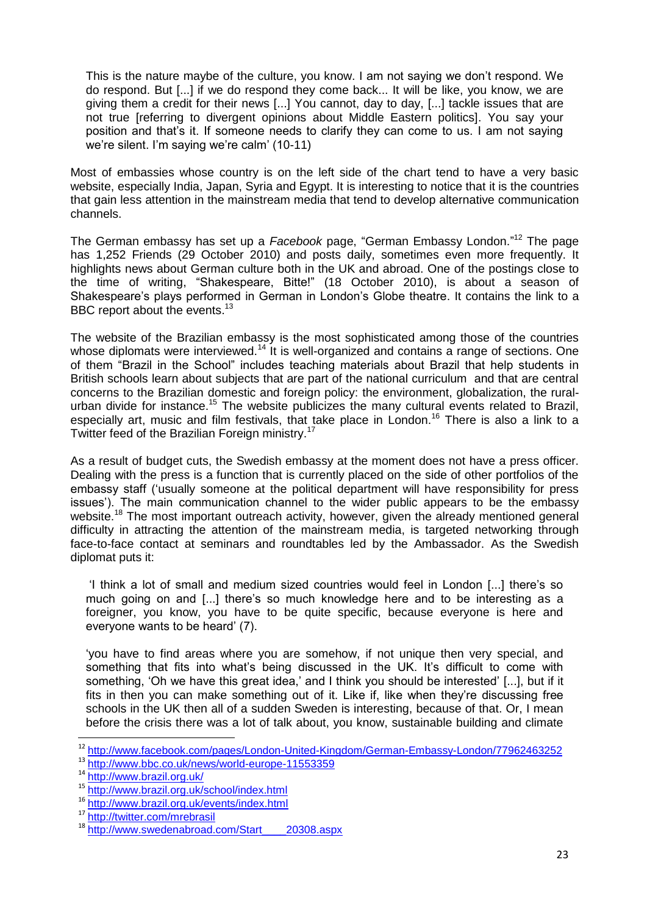This is the nature maybe of the culture, you know. I am not saying we don't respond. We do respond. But [...] if we do respond they come back... It will be like, you know, we are giving them a credit for their news [...] You cannot, day to day, [...] tackle issues that are not true [referring to divergent opinions about Middle Eastern politics]. You say your position and that's it. If someone needs to clarify they can come to us. I am not saying we're silent. I'm saying we're calm' (10-11)

Most of embassies whose country is on the left side of the chart tend to have a very basic website, especially India, Japan, Syria and Egypt. It is interesting to notice that it is the countries that gain less attention in the mainstream media that tend to develop alternative communication channels.

The German embassy has set up a *Facebook* page, "German Embassy London."<sup>12</sup> The page has 1,252 Friends (29 October 2010) and posts daily, sometimes even more frequently. It highlights news about German culture both in the UK and abroad. One of the postings close to the time of writing, "Shakespeare, Bitte!" (18 October 2010), is about a season of Shakespeare's plays performed in German in London's Globe theatre. It contains the link to a BBC report about the events.<sup>13</sup>

The website of the Brazilian embassy is the most sophisticated among those of the countries whose diplomats were interviewed.<sup>14</sup> It is well-organized and contains a range of sections. One of them "Brazil in the School" includes teaching materials about Brazil that help students in British schools learn about subjects that are part of the national curriculum and that are central concerns to the Brazilian domestic and foreign policy: the environment, globalization, the ruralurban divide for instance.<sup>15</sup> The website publicizes the many cultural events related to Brazil, especially art, music and film festivals, that take place in London.<sup>16</sup> There is also a link to a Twitter feed of the Brazilian Foreign ministry.<sup>17</sup>

As a result of budget cuts, the Swedish embassy at the moment does not have a press officer. Dealing with the press is a function that is currently placed on the side of other portfolios of the embassy staff ('usually someone at the political department will have responsibility for press issues'). The main communication channel to the wider public appears to be the embassy website.<sup>18</sup> The most important outreach activity, however, given the already mentioned general difficulty in attracting the attention of the mainstream media, is targeted networking through face-to-face contact at seminars and roundtables led by the Ambassador. As the Swedish diplomat puts it:

‗I think a lot of small and medium sized countries would feel in London [...] there's so much going on and [...] there's so much knowledge here and to be interesting as a foreigner, you know, you have to be quite specific, because everyone is here and everyone wants to be heard' (7).

‗you have to find areas where you are somehow, if not unique then very special, and something that fits into what's being discussed in the UK. It's difficult to come with something, 'Oh we have this great idea,' and I think you should be interested' [...], but if it fits in then you can make something out of it. Like if, like when they're discussing free schools in the UK then all of a sudden Sweden is interesting, because of that. Or, I mean before the crisis there was a lot of talk about, you know, sustainable building and climate

 $\overline{a}$ 

<sup>&</sup>lt;sup>12</sup> <http://www.facebook.com/pages/London-United-Kingdom/German-Embassy-London/77962463252>

<sup>13</sup> <http://www.bbc.co.uk/news/world-europe-11553359>

<sup>14</sup> <http://www.brazil.org.uk/>

<sup>15</sup> <http://www.brazil.org.uk/school/index.html>

<sup>16</sup> <http://www.brazil.org.uk/events/index.html>

<sup>17</sup> <http://twitter.com/mrebrasil>

<sup>18</sup> [http://www.swedenabroad.com/Start\\_\\_\\_\\_20308.aspx](http://www.swedenabroad.com/Start____20308.aspx)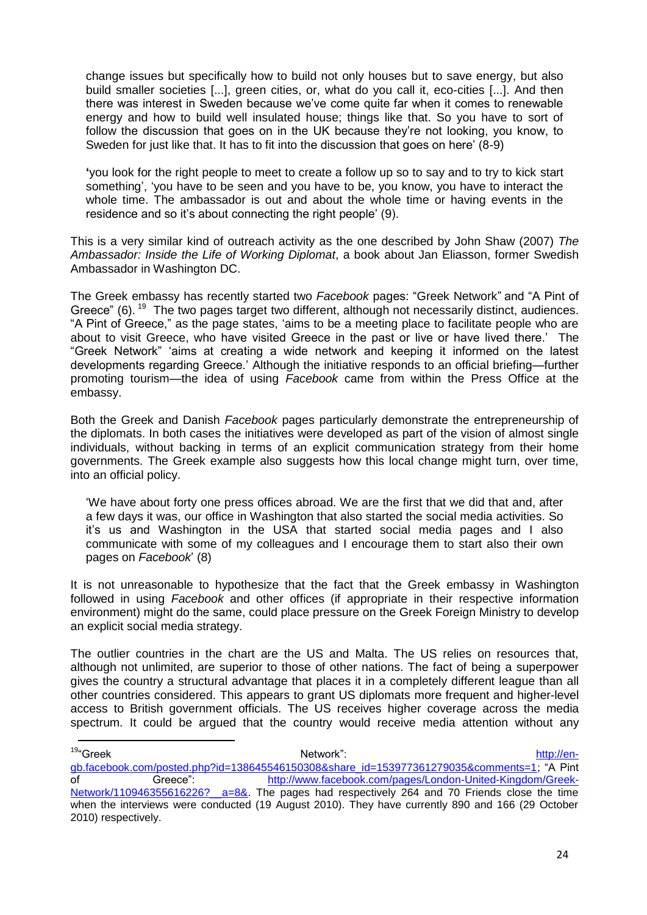change issues but specifically how to build not only houses but to save energy, but also build smaller societies [...], green cities, or, what do you call it, eco-cities [...]. And then there was interest in Sweden because we've come quite far when it comes to renewable energy and how to build well insulated house; things like that. So you have to sort of follow the discussion that goes on in the UK because they're not looking, you know, to Sweden for just like that. It has to fit into the discussion that goes on here' (8-9)

**'**you look for the right people to meet to create a follow up so to say and to try to kick start something', 'you have to be seen and you have to be, you know, you have to interact the whole time. The ambassador is out and about the whole time or having events in the residence and so it's about connecting the right people' (9).

This is a very similar kind of outreach activity as the one described by John Shaw (2007) *The Ambassador: Inside the Life of Working Diplomat*, a book about Jan Eliasson, former Swedish Ambassador in Washington DC.

The Greek embassy has recently started two Facebook pages: "Greek Network" and "A Pint of Greece" (6).  $19$  The two pages target two different, although not necessarily distinct, audiences. "A Pint of Greece," as the page states, 'aims to be a meeting place to facilitate people who are about to visit Greece, who have visited Greece in the past or live or have lived there.' The ―Greek Network‖ ‗aims at creating a wide network and keeping it informed on the latest developments regarding Greece.' Although the initiative responds to an official briefing—further promoting tourism—the idea of using *Facebook* came from within the Press Office at the embassy.

Both the Greek and Danish *Facebook* pages particularly demonstrate the entrepreneurship of the diplomats. In both cases the initiatives were developed as part of the vision of almost single individuals, without backing in terms of an explicit communication strategy from their home governments. The Greek example also suggests how this local change might turn, over time, into an official policy.

‗We have about forty one press offices abroad. We are the first that we did that and, after a few days it was, our office in Washington that also started the social media activities. So it's us and Washington in the USA that started social media pages and I also communicate with some of my colleagues and I encourage them to start also their own pages on *Facebook*' (8)

It is not unreasonable to hypothesize that the fact that the Greek embassy in Washington followed in using *Facebook* and other offices (if appropriate in their respective information environment) might do the same, could place pressure on the Greek Foreign Ministry to develop an explicit social media strategy.

The outlier countries in the chart are the US and Malta. The US relies on resources that, although not unlimited, are superior to those of other nations. The fact of being a superpower gives the country a structural advantage that places it in a completely different league than all other countries considered. This appears to grant US diplomats more frequent and higher-level access to British government officials. The US receives higher coverage across the media spectrum. It could be argued that the country would receive media attention without any

<sup>&</sup>lt;sup>19</sup>"Greek <sup>19</sup>"Greek [http://en](http://en-gb.facebook.com/posted.php?id=138645546150308&share_id=153977361279035&comments=1)[gb.facebook.com/posted.php?id=138645546150308&share\\_id=153977361279035&comments=1;](http://en-gb.facebook.com/posted.php?id=138645546150308&share_id=153977361279035&comments=1) ―A Pint of Greece": [http://www.facebook.com/pages/London-United-Kingdom/Greek-](http://www.facebook.com/pages/London-United-Kingdom/Greek-Network/110946355616226?__a=8&)Network/110946355616226? a=8&. The pages had respectively 264 and 70 Friends close the time when the interviews were conducted (19 August 2010). They have currently 890 and 166 (29 October 2010) respectively.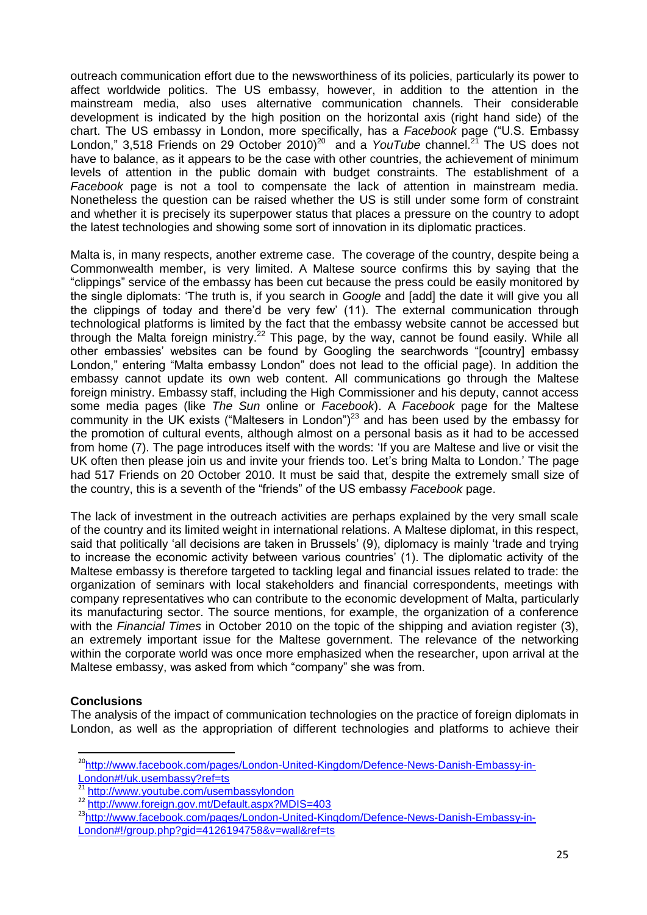outreach communication effort due to the newsworthiness of its policies, particularly its power to affect worldwide politics. The US embassy, however, in addition to the attention in the mainstream media, also uses alternative communication channels. Their considerable development is indicated by the high position on the horizontal axis (right hand side) of the chart. The US embassy in London, more specifically, has a Facebook page ("U.S. Embassy London," 3,518 Friends on 29 October 2010)<sup>20</sup> and a *YouTube* channel.<sup>21</sup> The US does not have to balance, as it appears to be the case with other countries, the achievement of minimum levels of attention in the public domain with budget constraints. The establishment of a *Facebook* page is not a tool to compensate the lack of attention in mainstream media. Nonetheless the question can be raised whether the US is still under some form of constraint and whether it is precisely its superpower status that places a pressure on the country to adopt the latest technologies and showing some sort of innovation in its diplomatic practices.

Malta is, in many respects, another extreme case. The coverage of the country, despite being a Commonwealth member, is very limited. A Maltese source confirms this by saying that the ―clippings‖ service of the embassy has been cut because the press could be easily monitored by the single diplomats: ‗The truth is, if you search in *Google* and [add] the date it will give you all the clippings of today and there'd be very few' (11). The external communication through technological platforms is limited by the fact that the embassy website cannot be accessed but through the Malta foreign ministry.<sup>22</sup> This page, by the way, cannot be found easily. While all other embassies' websites can be found by Googling the searchwords "[country] embassy London," entering "Malta embassy London" does not lead to the official page). In addition the embassy cannot update its own web content. All communications go through the Maltese foreign ministry. Embassy staff, including the High Commissioner and his deputy, cannot access some media pages (like *The Sun* online or *Facebook*). A *Facebook* page for the Maltese community in the UK exists ("Maltesers in London")<sup>23</sup> and has been used by the embassy for the promotion of cultural events, although almost on a personal basis as it had to be accessed from home (7). The page introduces itself with the words: 'If you are Maltese and live or visit the UK often then please join us and invite your friends too. Let's bring Malta to London.' The page had 517 Friends on 20 October 2010. It must be said that, despite the extremely small size of the country, this is a seventh of the "friends" of the US embassy *Facebook* page.

The lack of investment in the outreach activities are perhaps explained by the very small scale of the country and its limited weight in international relations. A Maltese diplomat, in this respect, said that politically 'all decisions are taken in Brussels' (9), diplomacy is mainly 'trade and trying to increase the economic activity between various countries' (1). The diplomatic activity of the Maltese embassy is therefore targeted to tackling legal and financial issues related to trade: the organization of seminars with local stakeholders and financial correspondents, meetings with company representatives who can contribute to the economic development of Malta, particularly its manufacturing sector. The source mentions, for example, the organization of a conference with the *Financial Times* in October 2010 on the topic of the shipping and aviation register (3), an extremely important issue for the Maltese government. The relevance of the networking within the corporate world was once more emphasized when the researcher, upon arrival at the Maltese embassy, was asked from which "company" she was from.

# **Conclusions**

**.** 

The analysis of the impact of communication technologies on the practice of foreign diplomats in London, as well as the appropriation of different technologies and platforms to achieve their

<sup>&</sup>lt;sup>20</sup>[http://www.facebook.com/pages/London-United-Kingdom/Defence-News-Danish-Embassy-in-](http://www.facebook.com/pages/London-United-Kingdom/Defence-News-Danish-Embassy-in-London#!/uk.usembassy?ref=ts)[London#!/uk.usembassy?ref=ts](http://www.facebook.com/pages/London-United-Kingdom/Defence-News-Danish-Embassy-in-London#!/uk.usembassy?ref=ts)

<sup>&</sup>lt;sup>21</sup> <http://www.youtube.com/usembassylondon>

<sup>&</sup>lt;sup>22</sup> http://www.<u>foreign.gov.mt/Default.aspx?MDIS=403</u>

<sup>&</sup>lt;sup>23</sup>[http://www.facebook.com/pages/London-United-Kingdom/Defence-News-Danish-Embassy-in-](http://www.facebook.com/pages/London-United-Kingdom/Defence-News-Danish-Embassy-in-London#!/group.php?gid=4126194758&v=wall&ref=ts)[London#!/group.php?gid=4126194758&v=wall&ref=ts](http://www.facebook.com/pages/London-United-Kingdom/Defence-News-Danish-Embassy-in-London#!/group.php?gid=4126194758&v=wall&ref=ts)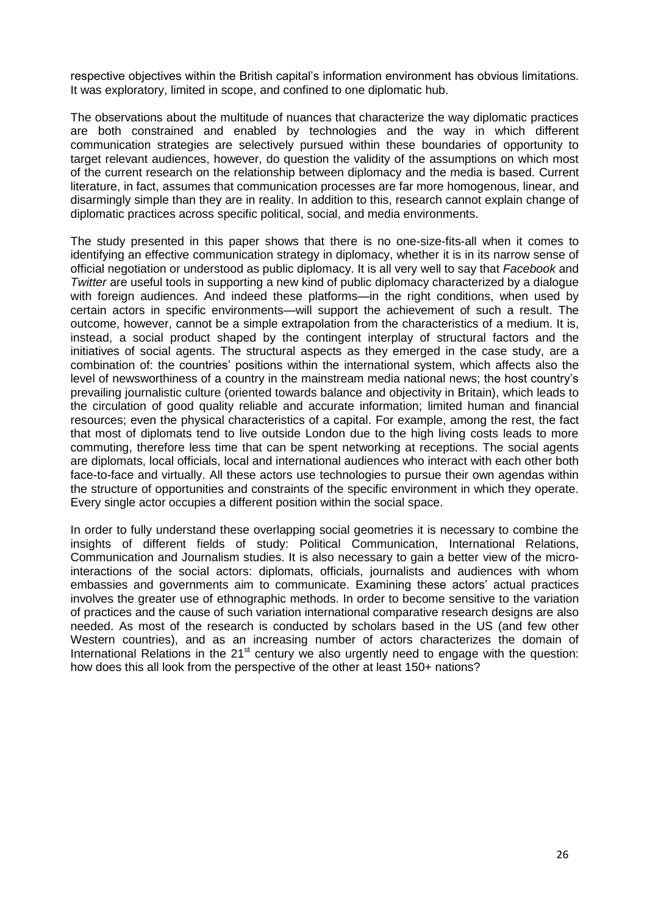respective objectives within the British capital's information environment has obvious limitations. It was exploratory, limited in scope, and confined to one diplomatic hub.

The observations about the multitude of nuances that characterize the way diplomatic practices are both constrained and enabled by technologies and the way in which different communication strategies are selectively pursued within these boundaries of opportunity to target relevant audiences, however, do question the validity of the assumptions on which most of the current research on the relationship between diplomacy and the media is based. Current literature, in fact, assumes that communication processes are far more homogenous, linear, and disarmingly simple than they are in reality. In addition to this, research cannot explain change of diplomatic practices across specific political, social, and media environments.

The study presented in this paper shows that there is no one-size-fits-all when it comes to identifying an effective communication strategy in diplomacy, whether it is in its narrow sense of official negotiation or understood as public diplomacy. It is all very well to say that *Facebook* and *Twitter* are useful tools in supporting a new kind of public diplomacy characterized by a dialogue with foreign audiences. And indeed these platforms—in the right conditions, when used by certain actors in specific environments—will support the achievement of such a result. The outcome, however, cannot be a simple extrapolation from the characteristics of a medium. It is, instead, a social product shaped by the contingent interplay of structural factors and the initiatives of social agents. The structural aspects as they emerged in the case study, are a combination of: the countries' positions within the international system, which affects also the level of newsworthiness of a country in the mainstream media national news; the host country's prevailing journalistic culture (oriented towards balance and objectivity in Britain), which leads to the circulation of good quality reliable and accurate information; limited human and financial resources; even the physical characteristics of a capital. For example, among the rest, the fact that most of diplomats tend to live outside London due to the high living costs leads to more commuting, therefore less time that can be spent networking at receptions. The social agents are diplomats, local officials, local and international audiences who interact with each other both face-to-face and virtually. All these actors use technologies to pursue their own agendas within the structure of opportunities and constraints of the specific environment in which they operate. Every single actor occupies a different position within the social space.

In order to fully understand these overlapping social geometries it is necessary to combine the insights of different fields of study: Political Communication, International Relations, Communication and Journalism studies. It is also necessary to gain a better view of the microinteractions of the social actors: diplomats, officials, journalists and audiences with whom embassies and governments aim to communicate. Examining these actors' actual practices involves the greater use of ethnographic methods. In order to become sensitive to the variation of practices and the cause of such variation international comparative research designs are also needed. As most of the research is conducted by scholars based in the US (and few other Western countries), and as an increasing number of actors characterizes the domain of International Relations in the  $21<sup>st</sup>$  century we also urgently need to engage with the question: how does this all look from the perspective of the other at least 150+ nations?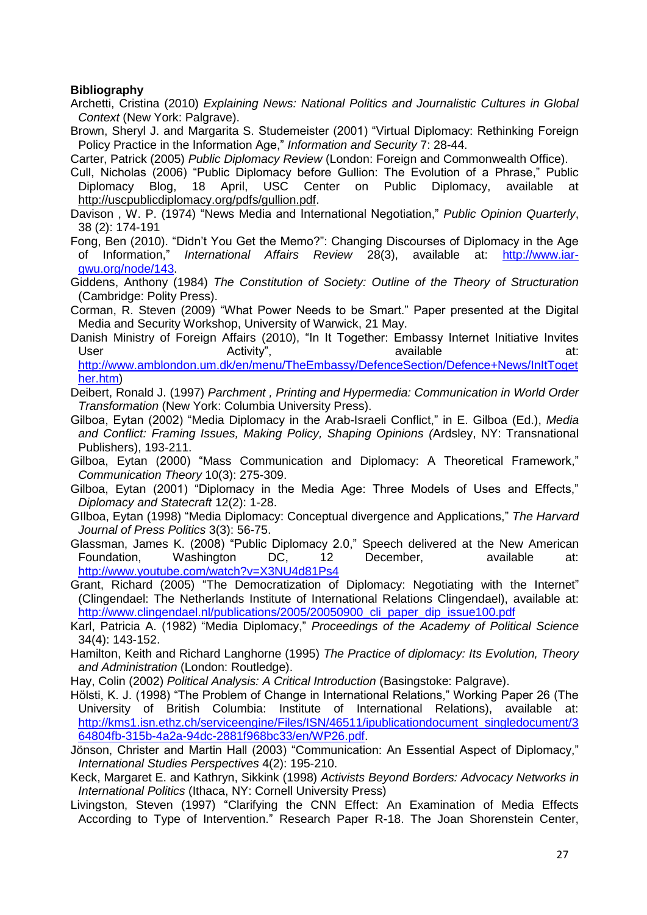# **Bibliography**

- Archetti, Cristina (2010) *Explaining News: National Politics and Journalistic Cultures in Global Context* (New York: Palgrave).
- Brown, Sheryl J. and Margarita S. Studemeister (2001) "Virtual Diplomacy: Rethinking Foreign Policy Practice in the Information Age," *Information and Security* 7: 28-44.

Carter, Patrick (2005) *Public Diplomacy Review* (London: Foreign and Commonwealth Office).

- Cull, Nicholas (2006) "Public Diplomacy before Gullion: The Evolution of a Phrase," Public Diplomacy Blog, 18 April, USC Center on Public Diplomacy, available at [http://uscpublicdiplomacy.org/pdfs/gullion.pdf.](http://uscpublicdiplomacy.org/pdfs/gullion.pdf)
- Davison, W. P. (1974) <sup>"</sup>News Media and International Negotiation," Public Opinion Quarterly, 38 (2): 174-191
- Fong, Ben (2010). "Didn't You Get the Memo?": Changing Discourses of Diplomacy in the Age of Information,‖ *International Affairs Review* 28(3), available at: [http://www.iar](http://www.iar-gwu.org/node/143)[gwu.org/node/143.](http://www.iar-gwu.org/node/143)
- Giddens, Anthony (1984) *The Constitution of Society: Outline of the Theory of Structuration* (Cambridge: Polity Press).
- Corman, R. Steven (2009) "What Power Needs to be Smart." Paper presented at the Digital Media and Security Workshop, University of Warwick, 21 May.
- Danish Ministry of Foreign Affairs (2010), "In It Together: Embassy Internet Initiative Invites User and Activity", the available available at: [http://www.amblondon.um.dk/en/menu/TheEmbassy/DefenceSection/Defence+News/InItToget](http://www.amblondon.um.dk/en/menu/TheEmbassy/DefenceSection/Defence+News/InItTogether.htm)

[her.htm\)](http://www.amblondon.um.dk/en/menu/TheEmbassy/DefenceSection/Defence+News/InItTogether.htm)

- Deibert, Ronald J. (1997) *Parchment , Printing and Hypermedia: Communication in World Order Transformation* (New York: Columbia University Press).
- Gilboa, Eytan (2002) "Media Diplomacy in the Arab-Israeli Conflict," in E. Gilboa (Ed.), Media *and Conflict: Framing Issues, Making Policy, Shaping Opinions (*Ardsley, NY: Transnational Publishers), 193-211.
- Gilboa, Eytan (2000) "Mass Communication and Diplomacy: A Theoretical Framework," *Communication Theory* 10(3): 275-309.
- Gilboa, Eytan (2001) "Diplomacy in the Media Age: Three Models of Uses and Effects," *Diplomacy and Statecraft* 12(2): 1-28.
- GIIboa, Eytan (1998) "Media Diplomacy: Conceptual divergence and Applications," The Harvard *Journal of Press Politics* 3(3): 56-75.
- Glassman, James K. (2008) "Public Diplomacy 2.0," Speech delivered at the New American Foundation, Washington DC, 12 December, available at: <http://www.youtube.com/watch?v=X3NU4d81Ps4>
- Grant, Richard (2005) "The Democratization of Diplomacy: Negotiating with the Internet" (Clingendael: The Netherlands Institute of International Relations Clingendael), available at: [http://www.clingendael.nl/publications/2005/20050900\\_cli\\_paper\\_dip\\_issue100.pdf](http://www.clingendael.nl/publications/2005/20050900_cli_paper_dip_issue100.pdf)
- Karl, Patricia A. (1982) "Media Diplomacy," Proceedings of the Academy of Political Science 34(4): 143-152.
- Hamilton, Keith and Richard Langhorne (1995) *The Practice of diplomacy: Its Evolution, Theory and Administration* (London: Routledge).

Hay, Colin (2002) *Political Analysis: A Critical Introduction* (Basingstoke: Palgrave).

- Hölsti, K. J. (1998) "The Problem of Change in International Relations," Working Paper 26 (The University of British Columbia: Institute of International Relations), available at: [http://kms1.isn.ethz.ch/serviceengine/Files/ISN/46511/ipublicationdocument\\_singledocument/3](http://kms1.isn.ethz.ch/serviceengine/Files/ISN/46511/ipublicationdocument_singledocument/364804fb-315b-4a2a-94dc-2881f968bc33/en/WP26.pdf) [64804fb-315b-4a2a-94dc-2881f968bc33/en/WP26.pdf.](http://kms1.isn.ethz.ch/serviceengine/Files/ISN/46511/ipublicationdocument_singledocument/364804fb-315b-4a2a-94dc-2881f968bc33/en/WP26.pdf)
- Jönson, Christer and Martin Hall (2003) "Communication: An Essential Aspect of Diplomacy," *International Studies Perspectives* 4(2): 195-210.
- Keck, Margaret E. and Kathryn, Sikkink (1998) *Activists Beyond Borders: Advocacy Networks in International Politics* (Ithaca, NY: Cornell University Press)
- Livingston, Steven (1997) "Clarifying the CNN Effect: An Examination of Media Effects According to Type of Intervention." Research Paper R-18. The Joan Shorenstein Center,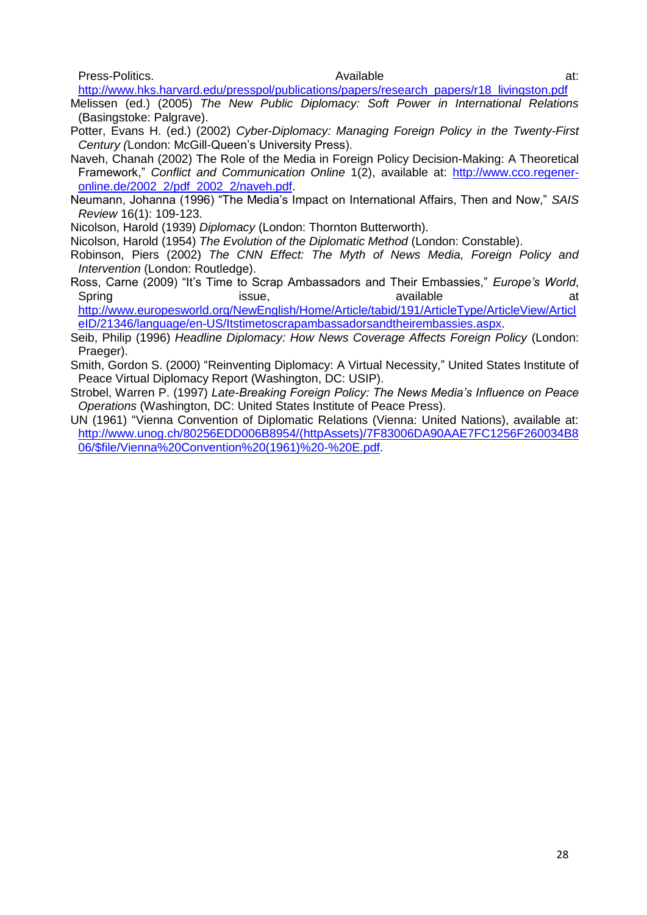Press-Politics. Available at:

[http://www.hks.harvard.edu/presspol/publications/papers/research\\_papers/r18\\_livingston.pdf](http://www.hks.harvard.edu/presspol/publications/papers/research_papers/r18_livingston.pdf) Melissen (ed.) (2005) *The New Public Diplomacy: Soft Power in International Relations* (Basingstoke: Palgrave).

- Potter, Evans H. (ed.) (2002) *Cyber-Diplomacy: Managing Foreign Policy in the Twenty-First Century (*London: McGill-Queen's University Press).
- Naveh, Chanah (2002) The Role of the Media in Foreign Policy Decision-Making: A Theoretical Framework,‖ *Conflict and Communication Online* 1(2), available at: [http://www.cco.regener](http://www.cco.regener-online.de/2002_2/pdf_2002_2/naveh.pdf)[online.de/2002\\_2/pdf\\_2002\\_2/naveh.pdf.](http://www.cco.regener-online.de/2002_2/pdf_2002_2/naveh.pdf)
- Neumann, Johanna (1996) "The Media's Impact on International Affairs, Then and Now," SAIS *Review* 16(1): 109-123.

Nicolson, Harold (1939) *Diplomacy* (London: Thornton Butterworth).

- Nicolson, Harold (1954) *The Evolution of the Diplomatic Method* (London: Constable).
- Robinson, Piers (2002) *The CNN Effect: The Myth of News Media, Foreign Policy and Intervention* (London: Routledge).
- Ross, Carne (2009) "It's Time to Scrap Ambassadors and Their Embassies," *Europe's World*, Spring issue, available available at the strategy and at the set of the set of the set of the set of the set o [http://www.europesworld.org/NewEnglish/Home/Article/tabid/191/ArticleType/ArticleView/Articl](http://www.europesworld.org/NewEnglish/Home/Article/tabid/191/ArticleType/ArticleView/ArticleID/21346/language/en-US/Itstimetoscrapambassadorsandtheirembassies.aspx)

[eID/21346/language/en-US/Itstimetoscrapambassadorsandtheirembassies.aspx.](http://www.europesworld.org/NewEnglish/Home/Article/tabid/191/ArticleType/ArticleView/ArticleID/21346/language/en-US/Itstimetoscrapambassadorsandtheirembassies.aspx)

- Seib, Philip (1996) *Headline Diplomacy: How News Coverage Affects Foreign Policy* (London: Praeger).
- Smith, Gordon S. (2000) "Reinventing Diplomacy: A Virtual Necessity," United States Institute of Peace Virtual Diplomacy Report (Washington, DC: USIP).
- Strobel, Warren P. (1997) *Late-Breaking Foreign Policy: The News Media"s Influence on Peace Operations* (Washington, DC: United States Institute of Peace Press).
- UN (1961) "Vienna Convention of Diplomatic Relations (Vienna: United Nations), available at: [http://www.unog.ch/80256EDD006B8954/\(httpAssets\)/7F83006DA90AAE7FC1256F260034B8](http://www.unog.ch/80256EDD006B8954/(httpAssets)/7F83006DA90AAE7FC1256F260034B806/$file/Vienna%20Convention%20(1961)%20-%20E.pdf) [06/\\$file/Vienna%20Convention%20\(1961\)%20-%20E.pdf.](http://www.unog.ch/80256EDD006B8954/(httpAssets)/7F83006DA90AAE7FC1256F260034B806/$file/Vienna%20Convention%20(1961)%20-%20E.pdf)